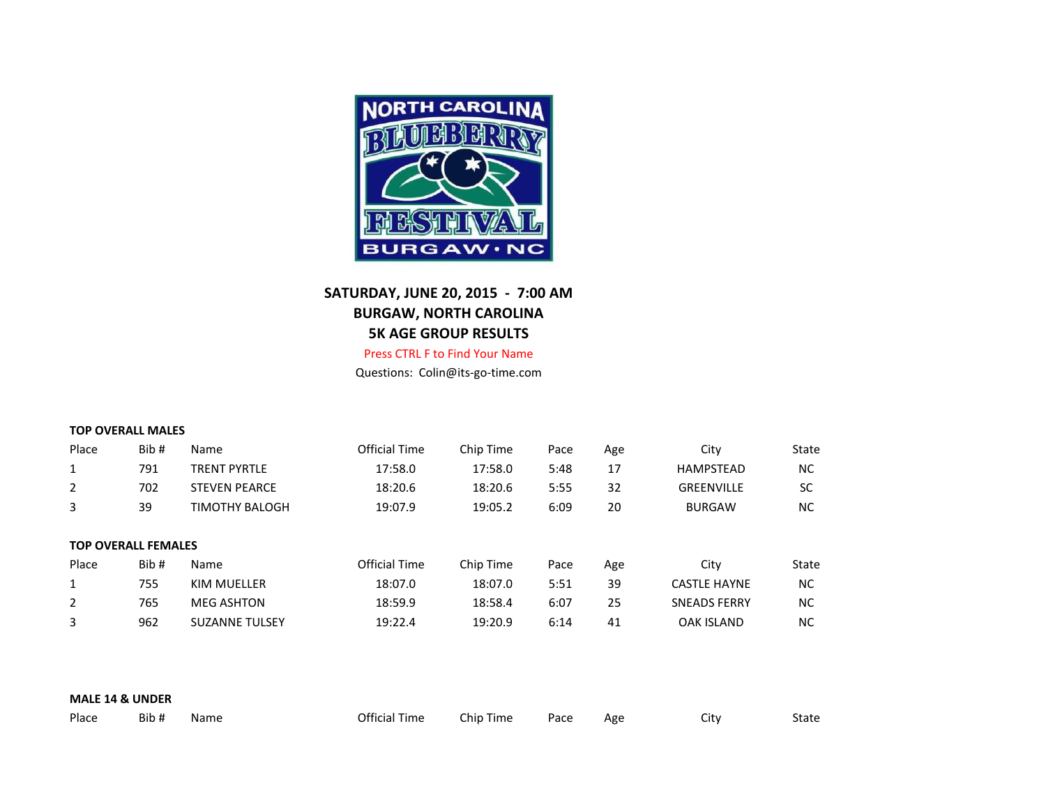

## **SATURDAY, JUNE 20, 2015 - 7:00 AM BURGAW, NORTH CAROLINA 5K AGE GROUP RESULTS**

Press CTRL F to Find Your Name

Questions: Colin@its-go-time.com

| Place | Bib# | Name                 | Official Time | Chip Time | Pace | Age | Citv              | State |
|-------|------|----------------------|---------------|-----------|------|-----|-------------------|-------|
|       | 791  | <b>TRENT PYRTLE</b>  | 17:58.0       | 17:58.0   | 5:48 |     | <b>HAMPSTEAD</b>  | NС    |
|       | 702  | <b>STEVEN PEARCE</b> | 18:20.6       | 18:20.6   | 5:55 | 32  | <b>GREENVILLE</b> | SC    |
|       | 39   | TIMOTHY BALOGH       | 19:07.9       | 19:05.2   | 6:09 | 20  | <b>BURGAW</b>     | ΝC    |

|       | <b>TOP OVERALL FEMALES</b> |                       |               |           |      |     |                     |       |
|-------|----------------------------|-----------------------|---------------|-----------|------|-----|---------------------|-------|
| Place | Bib#                       | Name                  | Official Time | Chip Time | Pace | Age | Citv                | State |
|       | 755                        | KIM MUELLER           | 18:07.0       | 18:07.0   | 5:51 | 39  | <b>CASTLE HAYNE</b> | NC.   |
| 2     | 765                        | MEG ASHTON            | 18:59.9       | 18:58.4   | 6:07 | 25  | <b>SNEADS FERRY</b> | NC.   |
| 3     | 962                        | <b>SUZANNE TULSEY</b> | 19:22.4       | 19:20.9   | 6:14 | 41  | OAK ISLAND          | NC.   |

| <b>MALE 14 &amp; UNDER</b> |      |      |               |           |      |     |      |       |
|----------------------------|------|------|---------------|-----------|------|-----|------|-------|
| Place                      | Bib# | Name | Official Time | Chip Time | Pace | Age | City | State |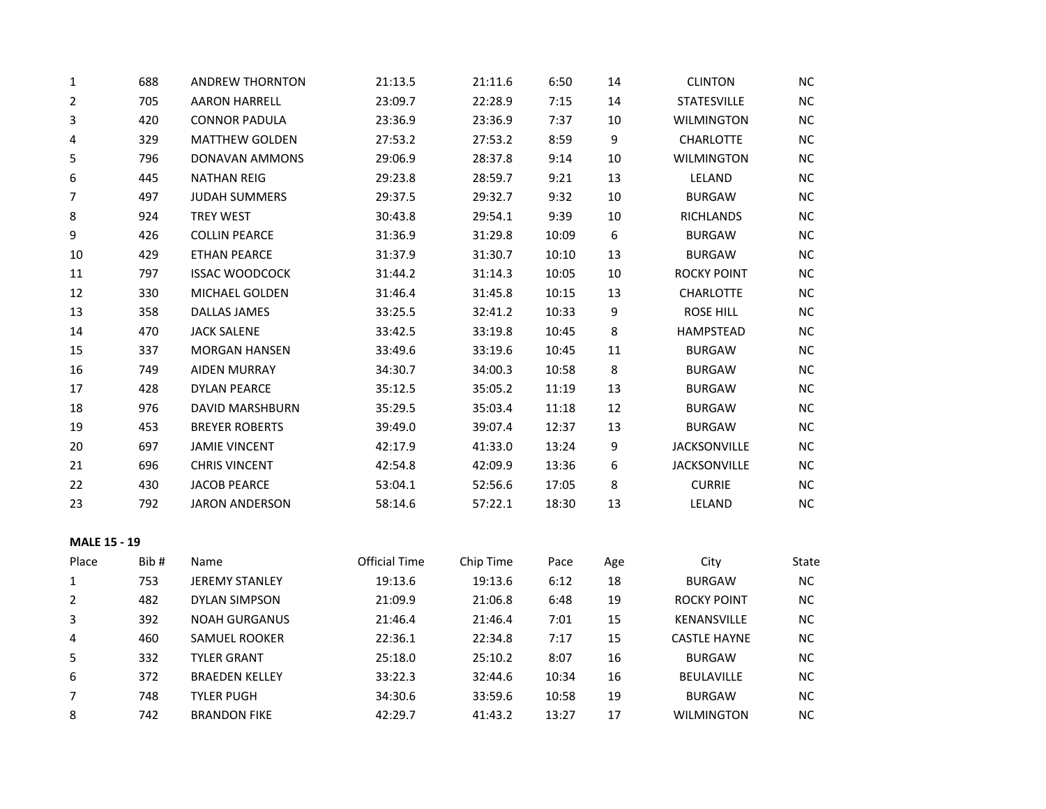| $\mathbf 1$         | 688  | <b>ANDREW THORNTON</b> | 21:13.5              | 21:11.6   | 6:50  | 14  | <b>CLINTON</b>      | $NC$      |
|---------------------|------|------------------------|----------------------|-----------|-------|-----|---------------------|-----------|
| 2                   | 705  | <b>AARON HARRELL</b>   | 23:09.7              | 22:28.9   | 7:15  | 14  | <b>STATESVILLE</b>  | NC        |
| 3                   | 420  | <b>CONNOR PADULA</b>   | 23:36.9              | 23:36.9   | 7:37  | 10  | WILMINGTON          | NC        |
| 4                   | 329  | <b>MATTHEW GOLDEN</b>  | 27:53.2              | 27:53.2   | 8:59  | 9   | <b>CHARLOTTE</b>    | NC        |
| 5                   | 796  | <b>DONAVAN AMMONS</b>  | 29:06.9              | 28:37.8   | 9:14  | 10  | <b>WILMINGTON</b>   | $NC$      |
| 6                   | 445  | <b>NATHAN REIG</b>     | 29:23.8              | 28:59.7   | 9:21  | 13  | LELAND              | NC        |
| 7                   | 497  | <b>JUDAH SUMMERS</b>   | 29:37.5              | 29:32.7   | 9:32  | 10  | <b>BURGAW</b>       | NC        |
| 8                   | 924  | <b>TREY WEST</b>       | 30:43.8              | 29:54.1   | 9:39  | 10  | <b>RICHLANDS</b>    | $NC$      |
| 9                   | 426  | <b>COLLIN PEARCE</b>   | 31:36.9              | 31:29.8   | 10:09 | 6   | <b>BURGAW</b>       | NC        |
| 10                  | 429  | <b>ETHAN PEARCE</b>    | 31:37.9              | 31:30.7   | 10:10 | 13  | <b>BURGAW</b>       | $NC$      |
| $11\,$              | 797  | <b>ISSAC WOODCOCK</b>  | 31:44.2              | 31:14.3   | 10:05 | 10  | <b>ROCKY POINT</b>  | NC        |
| 12                  | 330  | MICHAEL GOLDEN         | 31:46.4              | 31:45.8   | 10:15 | 13  | <b>CHARLOTTE</b>    | <b>NC</b> |
| 13                  | 358  | <b>DALLAS JAMES</b>    | 33:25.5              | 32:41.2   | 10:33 | 9   | <b>ROSE HILL</b>    | NC        |
| 14                  | 470  | <b>JACK SALENE</b>     | 33:42.5              | 33:19.8   | 10:45 | 8   | <b>HAMPSTEAD</b>    | NC        |
| 15                  | 337  | <b>MORGAN HANSEN</b>   | 33:49.6              | 33:19.6   | 10:45 | 11  | <b>BURGAW</b>       | $NC$      |
| 16                  | 749  | <b>AIDEN MURRAY</b>    | 34:30.7              | 34:00.3   | 10:58 | 8   | <b>BURGAW</b>       | NC        |
| 17                  | 428  | <b>DYLAN PEARCE</b>    | 35:12.5              | 35:05.2   | 11:19 | 13  | <b>BURGAW</b>       | $NC$      |
| 18                  | 976  | <b>DAVID MARSHBURN</b> | 35:29.5              | 35:03.4   | 11:18 | 12  | <b>BURGAW</b>       | NC        |
| 19                  | 453  | <b>BREYER ROBERTS</b>  | 39:49.0              | 39:07.4   | 12:37 | 13  | <b>BURGAW</b>       | NC        |
| 20                  | 697  | <b>JAMIE VINCENT</b>   | 42:17.9              | 41:33.0   | 13:24 | 9   | <b>JACKSONVILLE</b> | $NC$      |
| 21                  | 696  | <b>CHRIS VINCENT</b>   | 42:54.8              | 42:09.9   | 13:36 | 6   | <b>JACKSONVILLE</b> | NC        |
| 22                  | 430  | <b>JACOB PEARCE</b>    | 53:04.1              | 52:56.6   | 17:05 | 8   | <b>CURRIE</b>       | $NC$      |
| 23                  | 792  | <b>JARON ANDERSON</b>  | 58:14.6              | 57:22.1   | 18:30 | 13  | LELAND              | $NC$      |
| <b>MALE 15 - 19</b> |      |                        |                      |           |       |     |                     |           |
| Place               | Bib# | Name                   | <b>Official Time</b> | Chip Time | Pace  | Age | City                | State     |
| $\mathbf{1}$        | 753  | <b>JEREMY STANLEY</b>  | 19:13.6              | 19:13.6   | 6:12  | 18  | <b>BURGAW</b>       | $NC$      |
| $\overline{2}$      | 482  | <b>DYLAN SIMPSON</b>   | 21:09.9              | 21:06.8   | 6:48  | 19  | <b>ROCKY POINT</b>  | NC        |
| 3                   | 392  | <b>NOAH GURGANUS</b>   | 21:46.4              | 21:46.4   | 7:01  | 15  | KENANSVILLE         | $NC$      |
| 4                   | 460  | SAMUEL ROOKER          | 22:36.1              | 22:34.8   | 7:17  | 15  | <b>CASTLE HAYNE</b> | NC        |
| 5                   | 332  | <b>TYLER GRANT</b>     | 25:18.0              | 25:10.2   | 8:07  | 16  | <b>BURGAW</b>       | NC        |
| 6                   | 372  | <b>BRAEDEN KELLEY</b>  | 33:22.3              | 32:44.6   | 10:34 | 16  | BEULAVILLE          | $NC$      |
| 7                   | 748  | <b>TYLER PUGH</b>      | 34:30.6              | 33:59.6   | 10:58 | 19  | <b>BURGAW</b>       | NC        |
| 8                   | 742  | <b>BRANDON FIKE</b>    | 42:29.7              | 41:43.2   | 13:27 | 17  | <b>WILMINGTON</b>   | $NC$      |
|                     |      |                        |                      |           |       |     |                     |           |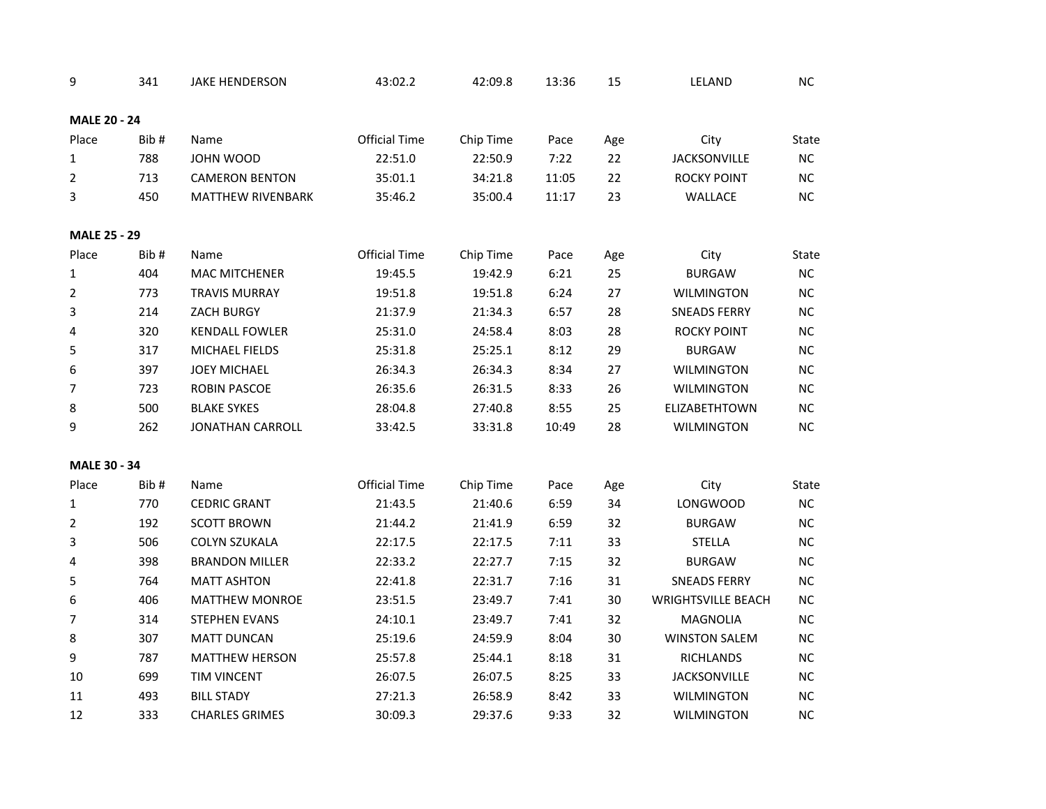| 9                   | 341  | <b>JAKE HENDERSON</b>    | 43:02.2              | 42:09.8   | 13:36 | 15  | LELAND                    | <b>NC</b> |
|---------------------|------|--------------------------|----------------------|-----------|-------|-----|---------------------------|-----------|
| <b>MALE 20 - 24</b> |      |                          |                      |           |       |     |                           |           |
| Place               | Bib# | Name                     | <b>Official Time</b> | Chip Time | Pace  | Age | City                      | State     |
| 1                   | 788  | JOHN WOOD                | 22:51.0              | 22:50.9   | 7:22  | 22  | <b>JACKSONVILLE</b>       | $NC$      |
| $\overline{2}$      | 713  | <b>CAMERON BENTON</b>    | 35:01.1              | 34:21.8   | 11:05 | 22  | <b>ROCKY POINT</b>        | $NC$      |
| 3                   | 450  | <b>MATTHEW RIVENBARK</b> | 35:46.2              | 35:00.4   | 11:17 | 23  | <b>WALLACE</b>            | NC        |
| <b>MALE 25 - 29</b> |      |                          |                      |           |       |     |                           |           |
| Place               | Bib# | Name                     | <b>Official Time</b> | Chip Time | Pace  | Age | City                      | State     |
| $\mathbf{1}$        | 404  | <b>MAC MITCHENER</b>     | 19:45.5              | 19:42.9   | 6:21  | 25  | <b>BURGAW</b>             | NC        |
| 2                   | 773  | <b>TRAVIS MURRAY</b>     | 19:51.8              | 19:51.8   | 6:24  | 27  | <b>WILMINGTON</b>         | $NC$      |
| 3                   | 214  | ZACH BURGY               | 21:37.9              | 21:34.3   | 6:57  | 28  | <b>SNEADS FERRY</b>       | NC        |
| 4                   | 320  | <b>KENDALL FOWLER</b>    | 25:31.0              | 24:58.4   | 8:03  | 28  | <b>ROCKY POINT</b>        | NC.       |
| 5                   | 317  | MICHAEL FIELDS           | 25:31.8              | 25:25.1   | 8:12  | 29  | <b>BURGAW</b>             | NC        |
| 6                   | 397  | <b>JOEY MICHAEL</b>      | 26:34.3              | 26:34.3   | 8:34  | 27  | <b>WILMINGTON</b>         | <b>NC</b> |
| 7                   | 723  | <b>ROBIN PASCOE</b>      | 26:35.6              | 26:31.5   | 8:33  | 26  | <b>WILMINGTON</b>         | NC        |
| 8                   | 500  | <b>BLAKE SYKES</b>       | 28:04.8              | 27:40.8   | 8:55  | 25  | <b>ELIZABETHTOWN</b>      | NC        |
| 9                   | 262  | <b>JONATHAN CARROLL</b>  | 33:42.5              | 33:31.8   | 10:49 | 28  | <b>WILMINGTON</b>         | NC.       |
| <b>MALE 30 - 34</b> |      |                          |                      |           |       |     |                           |           |
| Place               | Bib# | Name                     | <b>Official Time</b> | Chip Time | Pace  | Age | City                      | State     |
| $\mathbf{1}$        | 770  | <b>CEDRIC GRANT</b>      | 21:43.5              | 21:40.6   | 6:59  | 34  | <b>LONGWOOD</b>           | NC        |
| $\overline{2}$      | 192  | <b>SCOTT BROWN</b>       | 21:44.2              | 21:41.9   | 6:59  | 32  | <b>BURGAW</b>             | NC        |
| 3                   | 506  | <b>COLYN SZUKALA</b>     | 22:17.5              | 22:17.5   | 7:11  | 33  | <b>STELLA</b>             | <b>NC</b> |
| 4                   | 398  | <b>BRANDON MILLER</b>    | 22:33.2              | 22:27.7   | 7:15  | 32  | <b>BURGAW</b>             | NC        |
| 5                   | 764  | <b>MATT ASHTON</b>       | 22:41.8              | 22:31.7   | 7:16  | 31  | <b>SNEADS FERRY</b>       | NC        |
| 6                   | 406  | <b>MATTHEW MONROE</b>    | 23:51.5              | 23:49.7   | 7:41  | 30  | <b>WRIGHTSVILLE BEACH</b> | NC.       |
| $\overline{7}$      | 314  | <b>STEPHEN EVANS</b>     | 24:10.1              | 23:49.7   | 7:41  | 32  | <b>MAGNOLIA</b>           | NC.       |
| 8                   | 307  | <b>MATT DUNCAN</b>       | 25:19.6              | 24:59.9   | 8:04  | 30  | <b>WINSTON SALEM</b>      | NC        |
| 9                   | 787  | <b>MATTHEW HERSON</b>    | 25:57.8              | 25:44.1   | 8:18  | 31  | <b>RICHLANDS</b>          | <b>NC</b> |
| 10                  | 699  | <b>TIM VINCENT</b>       | 26:07.5              | 26:07.5   | 8:25  | 33  | <b>JACKSONVILLE</b>       | NC        |
| 11                  | 493  | <b>BILL STADY</b>        | 27:21.3              | 26:58.9   | 8:42  | 33  | <b>WILMINGTON</b>         | NС        |
| 12                  | 333  | <b>CHARLES GRIMES</b>    | 30:09.3              | 29:37.6   | 9:33  | 32  | <b>WILMINGTON</b>         | <b>NC</b> |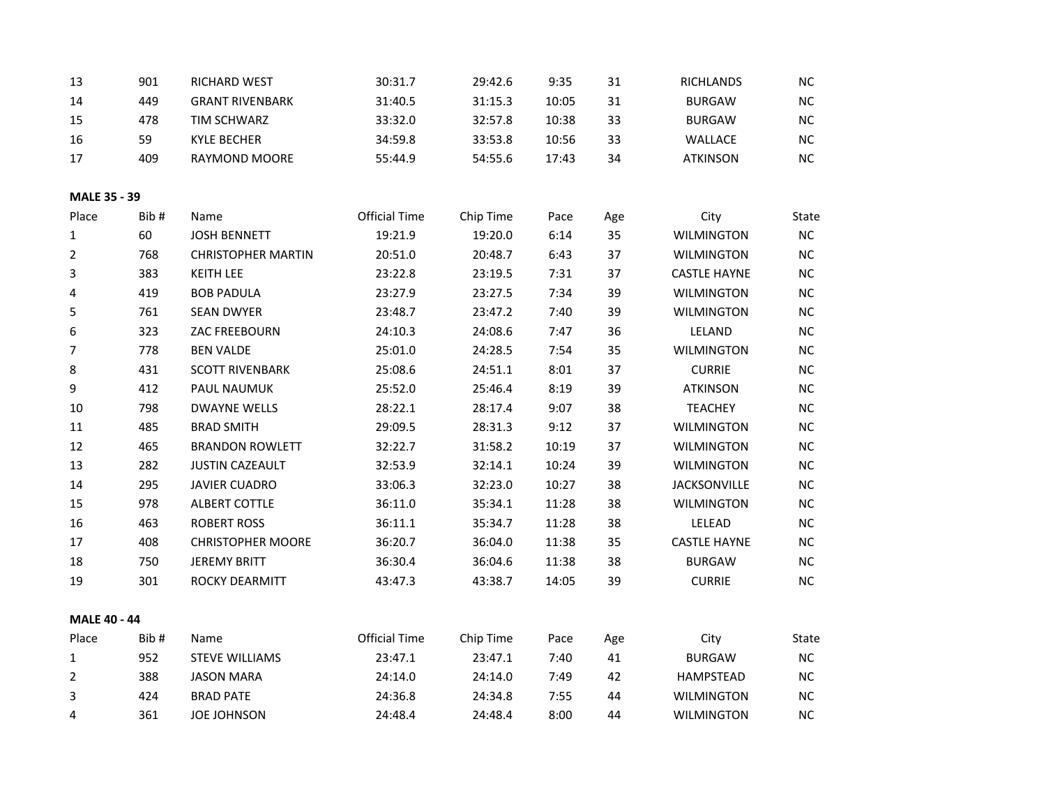| 13                  | 901  | RICHARD WEST              | 30:31.7              | 29:42.6   | 9:35  | 31  | RICHLANDS           | NC.      |
|---------------------|------|---------------------------|----------------------|-----------|-------|-----|---------------------|----------|
| 14                  | 449  | <b>GRANT RIVENBARK</b>    | 31:40.5              | 31:15.3   | 10:05 | 31  | <b>BURGAW</b>       | $NC$     |
| 15                  | 478  | <b>TIM SCHWARZ</b>        | 33:32.0              | 32:57.8   | 10:38 | 33  | <b>BURGAW</b>       | $NC$     |
| 16                  | 59   | <b>KYLE BECHER</b>        | 34:59.8              | 33:53.8   | 10:56 | 33  | WALLACE             | $\sf NC$ |
| 17                  | 409  | RAYMOND MOORE             | 55:44.9              | 54:55.6   | 17:43 | 34  | <b>ATKINSON</b>     | NC       |
| MALE 35 - 39        |      |                           |                      |           |       |     |                     |          |
| Place               | Bib# | Name                      | <b>Official Time</b> | Chip Time | Pace  | Age | City                | State    |
| 1                   | 60   | <b>JOSH BENNETT</b>       | 19:21.9              | 19:20.0   | 6:14  | 35  | <b>WILMINGTON</b>   | NC       |
| 2                   | 768  | <b>CHRISTOPHER MARTIN</b> | 20:51.0              | 20:48.7   | 6:43  | 37  | <b>WILMINGTON</b>   | $NC$     |
| 3                   | 383  | <b>KEITH LEE</b>          | 23:22.8              | 23:19.5   | 7:31  | 37  | <b>CASTLE HAYNE</b> | NC       |
| 4                   | 419  | <b>BOB PADULA</b>         | 23:27.9              | 23:27.5   | 7:34  | 39  | <b>WILMINGTON</b>   | $NC$     |
| 5                   | 761  | <b>SEAN DWYER</b>         | 23:48.7              | 23:47.2   | 7:40  | 39  | <b>WILMINGTON</b>   | $NC$     |
| 6                   | 323  | ZAC FREEBOURN             | 24:10.3              | 24:08.6   | 7:47  | 36  | LELAND              | NC       |
| 7                   | 778  | <b>BEN VALDE</b>          | 25:01.0              | 24:28.5   | 7:54  | 35  | <b>WILMINGTON</b>   | NC       |
| 8                   | 431  | <b>SCOTT RIVENBARK</b>    | 25:08.6              | 24:51.1   | 8:01  | 37  | <b>CURRIE</b>       | NC       |
| 9                   | 412  | PAUL NAUMUK               | 25:52.0              | 25:46.4   | 8:19  | 39  | <b>ATKINSON</b>     | NC       |
| 10                  | 798  | <b>DWAYNE WELLS</b>       | 28:22.1              | 28:17.4   | 9:07  | 38  | <b>TEACHEY</b>      | $NC$     |
| 11                  | 485  | <b>BRAD SMITH</b>         | 29:09.5              | 28:31.3   | 9:12  | 37  | <b>WILMINGTON</b>   | NC       |
| 12                  | 465  | <b>BRANDON ROWLETT</b>    | 32:22.7              | 31:58.2   | 10:19 | 37  | <b>WILMINGTON</b>   | NC       |
| 13                  | 282  | <b>JUSTIN CAZEAULT</b>    | 32:53.9              | 32:14.1   | 10:24 | 39  | <b>WILMINGTON</b>   | $NC$     |
| 14                  | 295  | <b>JAVIER CUADRO</b>      | 33:06.3              | 32:23.0   | 10:27 | 38  | <b>JACKSONVILLE</b> | $NC$     |
| 15                  | 978  | <b>ALBERT COTTLE</b>      | 36:11.0              | 35:34.1   | 11:28 | 38  | <b>WILMINGTON</b>   | NC       |
| 16                  | 463  | <b>ROBERT ROSS</b>        | 36:11.1              | 35:34.7   | 11:28 | 38  | LELEAD              | NC       |
| 17                  | 408  | <b>CHRISTOPHER MOORE</b>  | 36:20.7              | 36:04.0   | 11:38 | 35  | <b>CASTLE HAYNE</b> | NC       |
| 18                  | 750  | <b>JEREMY BRITT</b>       | 36:30.4              | 36:04.6   | 11:38 | 38  | <b>BURGAW</b>       | $NC$     |
| 19                  | 301  | ROCKY DEARMITT            | 43:47.3              | 43:38.7   | 14:05 | 39  | <b>CURRIE</b>       | NC.      |
| <b>MALE 40 - 44</b> |      |                           |                      |           |       |     |                     |          |
| Place               | Bib# | Name                      | <b>Official Time</b> | Chip Time | Pace  | Age | City                | State    |
| 1                   | 952  | <b>STEVE WILLIAMS</b>     | 23:47.1              | 23:47.1   | 7:40  | 41  | <b>BURGAW</b>       | $NC$     |
| 2                   | 388  | <b>JASON MARA</b>         | 24:14.0              | 24:14.0   | 7:49  | 42  | <b>HAMPSTEAD</b>    | NC       |
| 3                   | 424  | <b>BRAD PATE</b>          | 24:36.8              | 24:34.8   | 7:55  | 44  | <b>WILMINGTON</b>   | NC       |
| 4                   | 361  | JOE JOHNSON               | 24:48.4              | 24:48.4   | 8:00  | 44  | <b>WILMINGTON</b>   | NC       |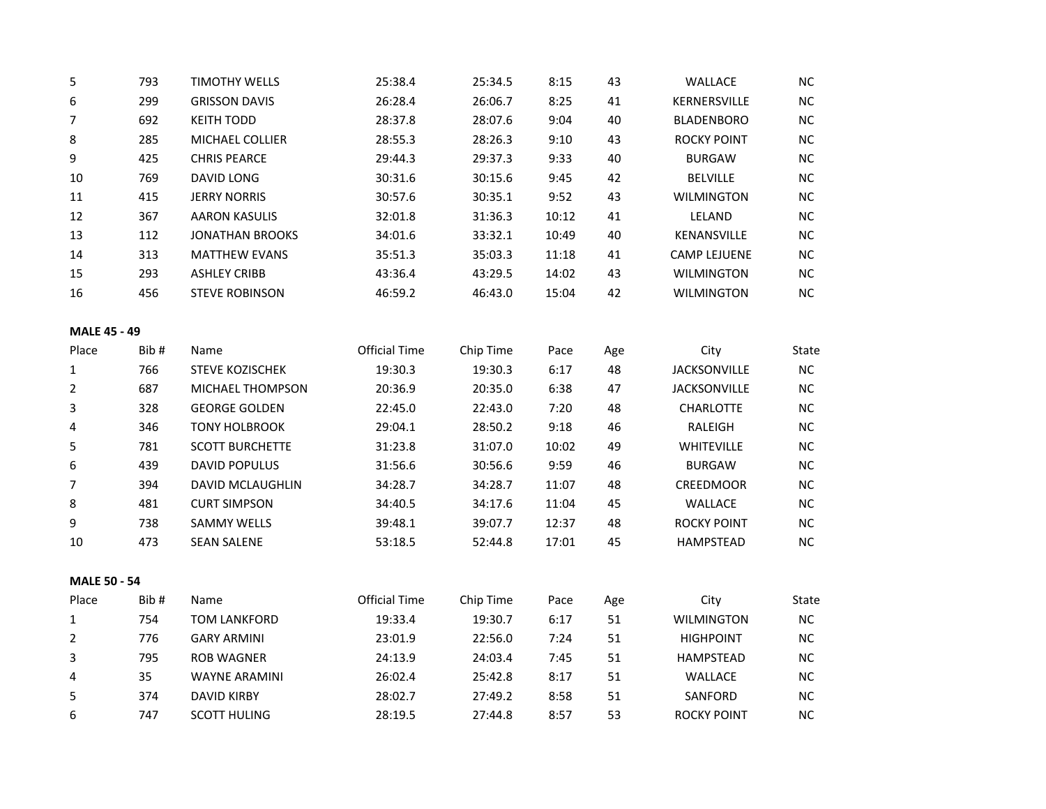| 5                   | 793  | <b>TIMOTHY WELLS</b>    | 25:38.4              | 25:34.5   | 8:15  | 43  | WALLACE             | NC        |
|---------------------|------|-------------------------|----------------------|-----------|-------|-----|---------------------|-----------|
| 6                   | 299  | <b>GRISSON DAVIS</b>    | 26:28.4              | 26:06.7   | 8:25  | 41  | KERNERSVILLE        | NC        |
| $\overline{7}$      | 692  | <b>KEITH TODD</b>       | 28:37.8              | 28:07.6   | 9:04  | 40  | <b>BLADENBORO</b>   | NC        |
| 8                   | 285  | <b>MICHAEL COLLIER</b>  | 28:55.3              | 28:26.3   | 9:10  | 43  | <b>ROCKY POINT</b>  | NC        |
| 9                   | 425  | <b>CHRIS PEARCE</b>     | 29:44.3              | 29:37.3   | 9:33  | 40  | <b>BURGAW</b>       | NC        |
| 10                  | 769  | <b>DAVID LONG</b>       | 30:31.6              | 30:15.6   | 9:45  | 42  | <b>BELVILLE</b>     | $NC$      |
| 11                  | 415  | <b>JERRY NORRIS</b>     | 30:57.6              | 30:35.1   | 9:52  | 43  | <b>WILMINGTON</b>   | NC        |
| 12                  | 367  | <b>AARON KASULIS</b>    | 32:01.8              | 31:36.3   | 10:12 | 41  | LELAND              | NC        |
| 13                  | 112  | <b>JONATHAN BROOKS</b>  | 34:01.6              | 33:32.1   | 10:49 | 40  | KENANSVILLE         | NC        |
| 14                  | 313  | <b>MATTHEW EVANS</b>    | 35:51.3              | 35:03.3   | 11:18 | 41  | <b>CAMP LEJUENE</b> | <b>NC</b> |
| 15                  | 293  | <b>ASHLEY CRIBB</b>     | 43:36.4              | 43:29.5   | 14:02 | 43  | <b>WILMINGTON</b>   | NC        |
| 16                  | 456  | <b>STEVE ROBINSON</b>   | 46:59.2              | 46:43.0   | 15:04 | 42  | <b>WILMINGTON</b>   | NC        |
| <b>MALE 45 - 49</b> |      |                         |                      |           |       |     |                     |           |
| Place               | Bib# | Name                    | <b>Official Time</b> | Chip Time | Pace  | Age | City                | State     |
| $\mathbf{1}$        | 766  | STEVE KOZISCHEK         | 19:30.3              | 19:30.3   | 6:17  | 48  | <b>JACKSONVILLE</b> | NC        |
| 2                   | 687  | MICHAEL THOMPSON        | 20:36.9              | 20:35.0   | 6:38  | 47  | <b>JACKSONVILLE</b> | $NC$      |
| 3                   | 328  | <b>GEORGE GOLDEN</b>    | 22:45.0              | 22:43.0   | 7:20  | 48  | <b>CHARLOTTE</b>    | NC        |
| 4                   | 346  | <b>TONY HOLBROOK</b>    | 29:04.1              | 28:50.2   | 9:18  | 46  | RALEIGH             | NC        |
| 5                   | 781  | <b>SCOTT BURCHETTE</b>  | 31:23.8              | 31:07.0   | 10:02 | 49  | WHITEVILLE          | NC        |
| 6                   | 439  | <b>DAVID POPULUS</b>    | 31:56.6              | 30:56.6   | 9:59  | 46  | <b>BURGAW</b>       | $NC$      |
| 7                   | 394  | <b>DAVID MCLAUGHLIN</b> | 34:28.7              | 34:28.7   | 11:07 | 48  | CREEDMOOR           | NC        |
| 8                   | 481  | <b>CURT SIMPSON</b>     | 34:40.5              | 34:17.6   | 11:04 | 45  | WALLACE             | NC        |
| 9                   | 738  | <b>SAMMY WELLS</b>      | 39:48.1              | 39:07.7   | 12:37 | 48  | <b>ROCKY POINT</b>  | NC        |
| 10                  | 473  | <b>SEAN SALENE</b>      | 53:18.5              | 52:44.8   | 17:01 | 45  | HAMPSTEAD           | NC        |
| <b>MALE 50 - 54</b> |      |                         |                      |           |       |     |                     |           |
| Place               | Bib# | Name                    | <b>Official Time</b> | Chip Time | Pace  | Age | City                | State     |
| 1                   | 754  | <b>TOM LANKFORD</b>     | 19:33.4              | 19:30.7   | 6:17  | 51  | <b>WILMINGTON</b>   | $\sf NC$  |
| $\overline{2}$      | 776  | <b>GARY ARMINI</b>      | 23:01.9              | 22:56.0   | 7:24  | 51  | <b>HIGHPOINT</b>    | NC        |
| 3                   | 795  | <b>ROB WAGNER</b>       | 24:13.9              | 24:03.4   | 7:45  | 51  | HAMPSTEAD           | NC        |
| 4                   | 35   | <b>WAYNE ARAMINI</b>    | 26:02.4              | 25:42.8   | 8:17  | 51  | WALLACE             | <b>NC</b> |
| 5                   | 374  | <b>DAVID KIRBY</b>      | 28:02.7              | 27:49.2   | 8:58  | 51  | SANFORD             | <b>NC</b> |
| 6                   | 747  | <b>SCOTT HULING</b>     | 28:19.5              | 27:44.8   | 8:57  | 53  | <b>ROCKY POINT</b>  | <b>NC</b> |
|                     |      |                         |                      |           |       |     |                     |           |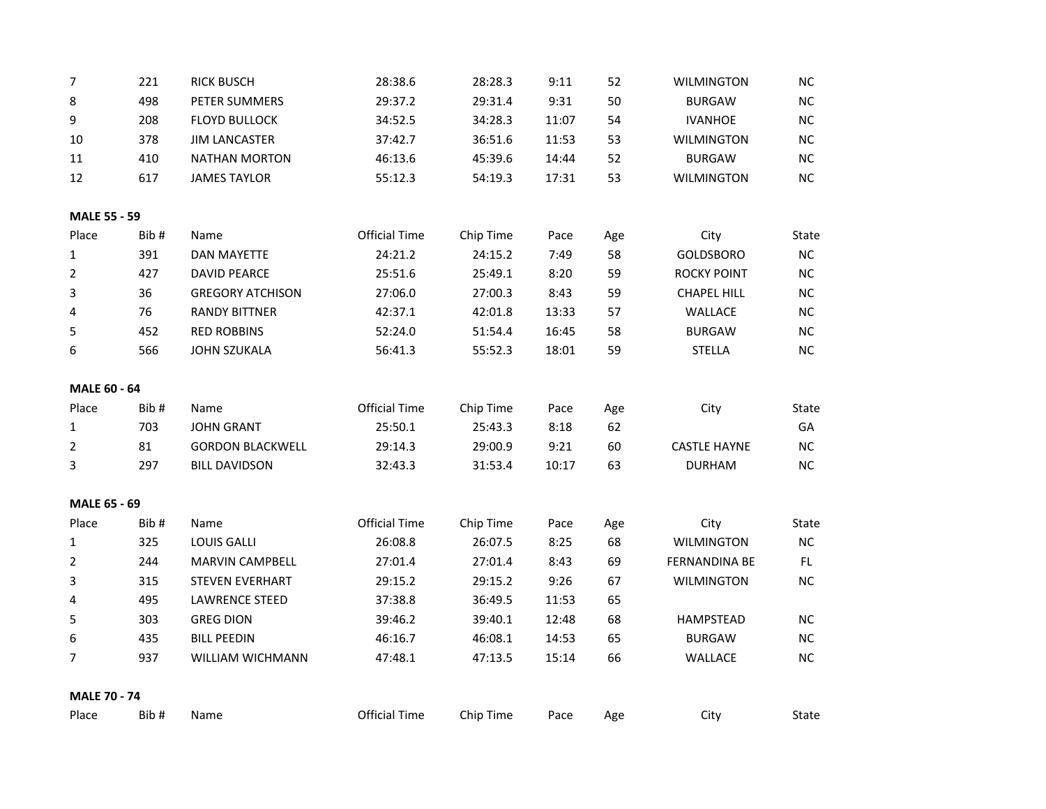| 7                   | 221  | <b>RICK BUSCH</b>       | 28:38.6              | 28:28.3   | 9:11  | 52  | <b>WILMINGTON</b>   | NC    |
|---------------------|------|-------------------------|----------------------|-----------|-------|-----|---------------------|-------|
| 8                   | 498  | PETER SUMMERS           | 29:37.2              | 29:31.4   | 9:31  | 50  | <b>BURGAW</b>       | NC    |
| 9                   | 208  | <b>FLOYD BULLOCK</b>    | 34:52.5              | 34:28.3   | 11:07 | 54  | <b>IVANHOE</b>      | NC    |
| 10                  | 378  | <b>JIM LANCASTER</b>    | 37:42.7              | 36:51.6   | 11:53 | 53  | <b>WILMINGTON</b>   | NC    |
| 11                  | 410  | <b>NATHAN MORTON</b>    | 46:13.6              | 45:39.6   | 14:44 | 52  | <b>BURGAW</b>       | $NC$  |
| 12                  | 617  | <b>JAMES TAYLOR</b>     | 55:12.3              | 54:19.3   | 17:31 | 53  | <b>WILMINGTON</b>   | NC    |
| <b>MALE 55 - 59</b> |      |                         |                      |           |       |     |                     |       |
| Place               | Bib# | Name                    | <b>Official Time</b> | Chip Time | Pace  | Age | City                | State |
| $\mathbf{1}$        | 391  | <b>DAN MAYETTE</b>      | 24:21.2              | 24:15.2   | 7:49  | 58  | <b>GOLDSBORO</b>    | NC    |
| $\overline{2}$      | 427  | <b>DAVID PEARCE</b>     | 25:51.6              | 25:49.1   | 8:20  | 59  | <b>ROCKY POINT</b>  | $NC$  |
| 3                   | 36   | <b>GREGORY ATCHISON</b> | 27:06.0              | 27:00.3   | 8:43  | 59  | <b>CHAPEL HILL</b>  | $NC$  |
| 4                   | 76   | <b>RANDY BITTNER</b>    | 42:37.1              | 42:01.8   | 13:33 | 57  | WALLACE             | $NC$  |
| 5                   | 452  | <b>RED ROBBINS</b>      | 52:24.0              | 51:54.4   | 16:45 | 58  | <b>BURGAW</b>       | NC    |
| 6                   | 566  | <b>JOHN SZUKALA</b>     | 56:41.3              | 55:52.3   | 18:01 | 59  | <b>STELLA</b>       | NC    |
| <b>MALE 60 - 64</b> |      |                         |                      |           |       |     |                     |       |
| Place               | Bib# | Name                    | <b>Official Time</b> | Chip Time | Pace  | Age | City                | State |
| 1                   | 703  | <b>JOHN GRANT</b>       | 25:50.1              | 25:43.3   | 8:18  | 62  |                     | GA    |
| 2                   | 81   | <b>GORDON BLACKWELL</b> | 29:14.3              | 29:00.9   | 9:21  | 60  | <b>CASTLE HAYNE</b> | NC    |
| 3                   | 297  | <b>BILL DAVIDSON</b>    | 32:43.3              | 31:53.4   | 10:17 | 63  | <b>DURHAM</b>       | NC    |
| <b>MALE 65 - 69</b> |      |                         |                      |           |       |     |                     |       |
| Place               | Bib# | Name                    | <b>Official Time</b> | Chip Time | Pace  | Age | City                | State |
| $\mathbf 1$         | 325  | <b>LOUIS GALLI</b>      | 26:08.8              | 26:07.5   | 8:25  | 68  | <b>WILMINGTON</b>   | NC    |
| 2                   | 244  | <b>MARVIN CAMPBELL</b>  | 27:01.4              | 27:01.4   | 8:43  | 69  | FERNANDINA BE       | FL.   |
| 3                   | 315  | <b>STEVEN EVERHART</b>  | 29:15.2              | 29:15.2   | 9:26  | 67  | <b>WILMINGTON</b>   | NC    |
| 4                   | 495  | <b>LAWRENCE STEED</b>   | 37:38.8              | 36:49.5   | 11:53 | 65  |                     |       |
| 5                   | 303  | <b>GREG DION</b>        | 39:46.2              | 39:40.1   | 12:48 | 68  | <b>HAMPSTEAD</b>    | NC    |
|                     |      |                         |                      |           |       | 65  | <b>BURGAW</b>       |       |
| 6                   | 435  | <b>BILL PEEDIN</b>      | 46:16.7              | 46:08.1   | 14:53 |     |                     | NC    |
| 7                   | 937  | WILLIAM WICHMANN        | 47:48.1              | 47:13.5   | 15:14 | 66  | WALLACE             | NC    |
| <b>MALE 70 - 74</b> | Bib# |                         | <b>Official Time</b> |           |       |     |                     |       |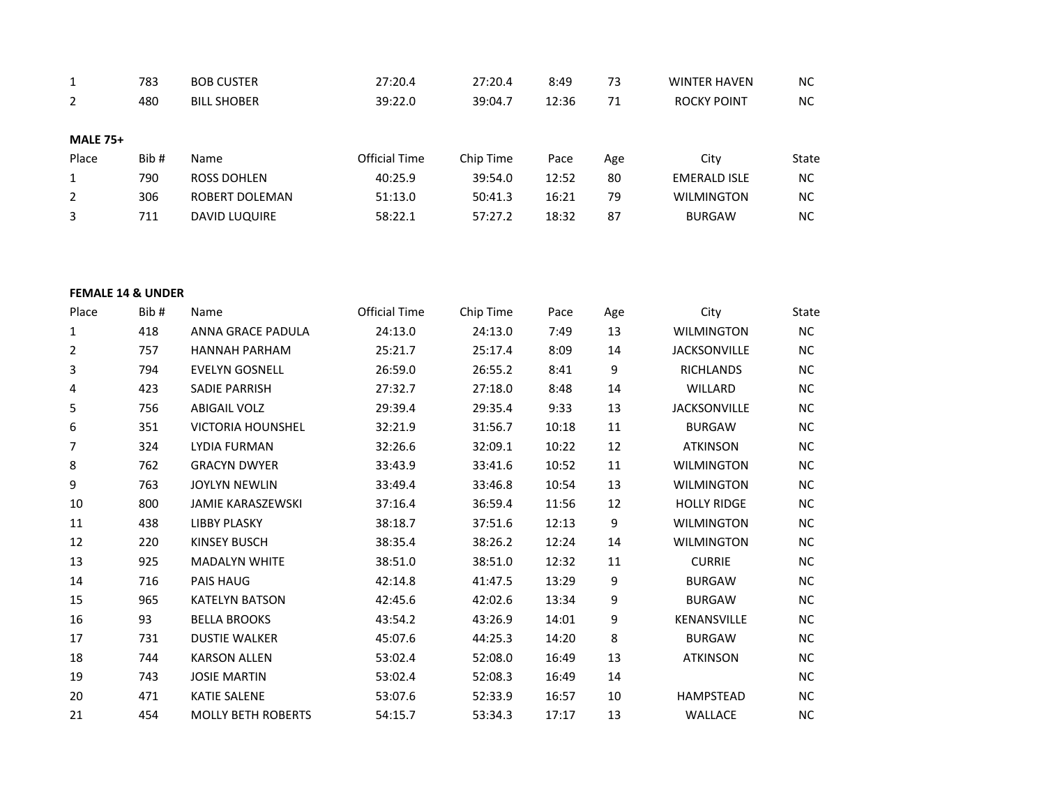| $\mathbf{1}$    | 783  | <b>BOB CUSTER</b>    | 27:20.4              | 27:20.4   | 8:49  | 73  | <b>WINTER HAVEN</b> | NC.       |
|-----------------|------|----------------------|----------------------|-----------|-------|-----|---------------------|-----------|
| $\mathbf{2}$    | 480  | <b>BILL SHOBER</b>   | 39:22.0              | 39:04.7   | 12:36 | 71  | <b>ROCKY POINT</b>  | NC.       |
| <b>MALE 75+</b> |      |                      |                      |           |       |     |                     |           |
| Place           | Bib# | Name                 | <b>Official Time</b> | Chip Time | Pace  | Age | City                | State     |
| $\mathbf{1}$    | 790  | ROSS DOHLEN          | 40:25.9              | 39:54.0   | 12:52 | 80  | <b>EMERALD ISLE</b> | NC.       |
| $\overline{2}$  | 306  | ROBERT DOLEMAN       | 51:13.0              | 50:41.3   | 16:21 | 79  | <b>WILMINGTON</b>   | <b>NC</b> |
| 3               | 711  | <b>DAVID LUQUIRE</b> | 58:22.1              | 57:27.2   | 18:32 | 87  | <b>BURGAW</b>       | NC.       |
|                 |      |                      |                      |           |       |     |                     |           |

## **FEMALE 14 & UNDER**

| Place | Bib# | Name                      | Official Time | Chip Time | Pace  | Age | City                | State     |
|-------|------|---------------------------|---------------|-----------|-------|-----|---------------------|-----------|
| 1     | 418  | ANNA GRACE PADULA         | 24:13.0       | 24:13.0   | 7:49  | 13  | <b>WILMINGTON</b>   | <b>NC</b> |
| 2     | 757  | <b>HANNAH PARHAM</b>      | 25:21.7       | 25:17.4   | 8:09  | 14  | <b>JACKSONVILLE</b> | $NC$      |
| 3     | 794  | <b>EVELYN GOSNELL</b>     | 26:59.0       | 26:55.2   | 8:41  | 9   | <b>RICHLANDS</b>    | <b>NC</b> |
| 4     | 423  | <b>SADIE PARRISH</b>      | 27:32.7       | 27:18.0   | 8:48  | 14  | WILLARD             | <b>NC</b> |
| 5     | 756  | <b>ABIGAIL VOLZ</b>       | 29:39.4       | 29:35.4   | 9:33  | 13  | <b>JACKSONVILLE</b> | <b>NC</b> |
| 6     | 351  | <b>VICTORIA HOUNSHEL</b>  | 32:21.9       | 31:56.7   | 10:18 | 11  | <b>BURGAW</b>       | NC        |
| 7     | 324  | <b>LYDIA FURMAN</b>       | 32:26.6       | 32:09.1   | 10:22 | 12  | <b>ATKINSON</b>     | NC.       |
| 8     | 762  | <b>GRACYN DWYER</b>       | 33:43.9       | 33:41.6   | 10:52 | 11  | <b>WILMINGTON</b>   | <b>NC</b> |
| 9     | 763  | <b>JOYLYN NEWLIN</b>      | 33:49.4       | 33:46.8   | 10:54 | 13  | <b>WILMINGTON</b>   | <b>NC</b> |
| 10    | 800  | <b>JAMIE KARASZEWSKI</b>  | 37:16.4       | 36:59.4   | 11:56 | 12  | <b>HOLLY RIDGE</b>  | NC        |
| 11    | 438  | <b>LIBBY PLASKY</b>       | 38:18.7       | 37:51.6   | 12:13 | 9   | <b>WILMINGTON</b>   | NC        |
| 12    | 220  | <b>KINSEY BUSCH</b>       | 38:35.4       | 38:26.2   | 12:24 | 14  | <b>WILMINGTON</b>   | NC        |
| 13    | 925  | <b>MADALYN WHITE</b>      | 38:51.0       | 38:51.0   | 12:32 | 11  | <b>CURRIE</b>       | <b>NC</b> |
| 14    | 716  | <b>PAIS HAUG</b>          | 42:14.8       | 41:47.5   | 13:29 | 9   | <b>BURGAW</b>       | <b>NC</b> |
| 15    | 965  | <b>KATELYN BATSON</b>     | 42:45.6       | 42:02.6   | 13:34 | 9   | <b>BURGAW</b>       | <b>NC</b> |
| 16    | 93   | <b>BELLA BROOKS</b>       | 43:54.2       | 43:26.9   | 14:01 | 9   | <b>KENANSVILLE</b>  | <b>NC</b> |
| 17    | 731  | <b>DUSTIE WALKER</b>      | 45:07.6       | 44:25.3   | 14:20 | 8   | <b>BURGAW</b>       | NC        |
| 18    | 744  | <b>KARSON ALLEN</b>       | 53:02.4       | 52:08.0   | 16:49 | 13  | <b>ATKINSON</b>     | <b>NC</b> |
| 19    | 743  | <b>JOSIE MARTIN</b>       | 53:02.4       | 52:08.3   | 16:49 | 14  |                     | <b>NC</b> |
| 20    | 471  | <b>KATIE SALENE</b>       | 53:07.6       | 52:33.9   | 16:57 | 10  | <b>HAMPSTEAD</b>    | <b>NC</b> |
| 21    | 454  | <b>MOLLY BETH ROBERTS</b> | 54:15.7       | 53:34.3   | 17:17 | 13  | <b>WALLACE</b>      | <b>NC</b> |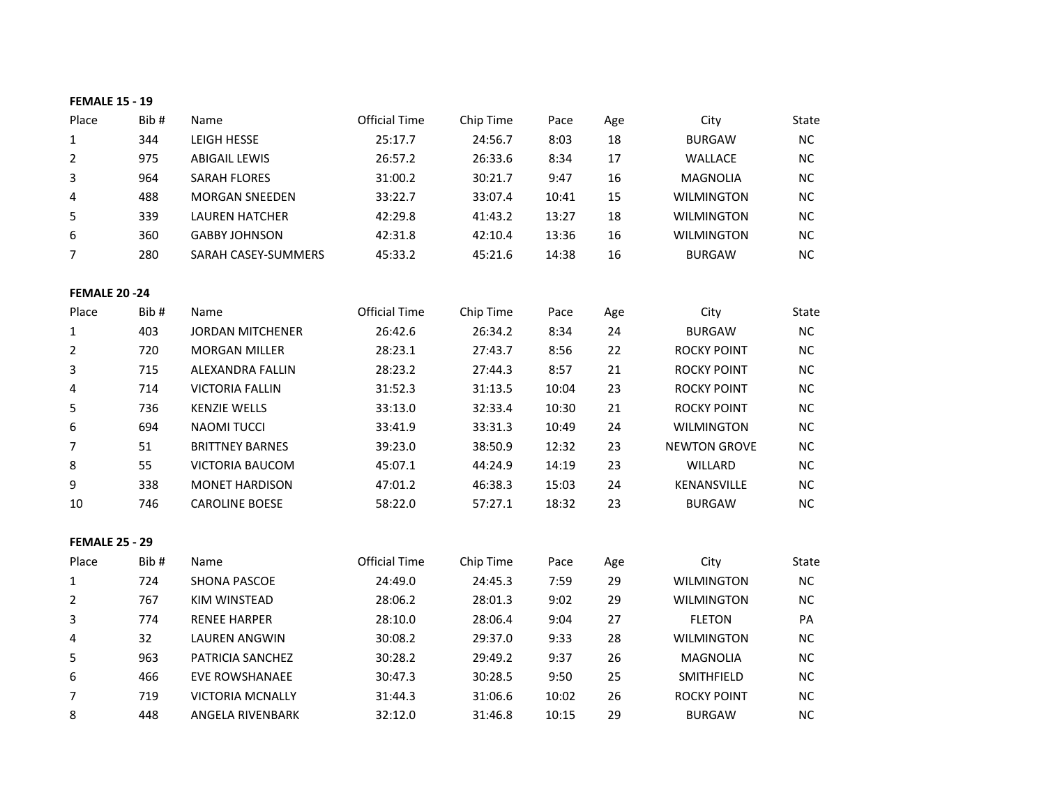| <b>FEMALE 15 - 19</b> |      |                         |                      |           |       |     |                     |           |
|-----------------------|------|-------------------------|----------------------|-----------|-------|-----|---------------------|-----------|
| Place                 | Bib# | Name                    | <b>Official Time</b> | Chip Time | Pace  | Age | City                | State     |
| $\mathbf{1}$          | 344  | LEIGH HESSE             | 25:17.7              | 24:56.7   | 8:03  | 18  | <b>BURGAW</b>       | NC        |
| 2                     | 975  | <b>ABIGAIL LEWIS</b>    | 26:57.2              | 26:33.6   | 8:34  | 17  | WALLACE             | NC        |
| 3                     | 964  | <b>SARAH FLORES</b>     | 31:00.2              | 30:21.7   | 9:47  | 16  | <b>MAGNOLIA</b>     | <b>NC</b> |
| 4                     | 488  | <b>MORGAN SNEEDEN</b>   | 33:22.7              | 33:07.4   | 10:41 | 15  | <b>WILMINGTON</b>   | NC        |
| 5                     | 339  | <b>LAUREN HATCHER</b>   | 42:29.8              | 41:43.2   | 13:27 | 18  | <b>WILMINGTON</b>   | NC        |
| 6                     | 360  | <b>GABBY JOHNSON</b>    | 42:31.8              | 42:10.4   | 13:36 | 16  | <b>WILMINGTON</b>   | $NC$      |
| $\overline{7}$        | 280  | SARAH CASEY-SUMMERS     | 45:33.2              | 45:21.6   | 14:38 | 16  | <b>BURGAW</b>       | NC        |
| <b>FEMALE 20 -24</b>  |      |                         |                      |           |       |     |                     |           |
| Place                 | Bib# | Name                    | <b>Official Time</b> | Chip Time | Pace  | Age | City                | State     |
| $\mathbf{1}$          | 403  | <b>JORDAN MITCHENER</b> | 26:42.6              | 26:34.2   | 8:34  | 24  | <b>BURGAW</b>       | NC        |
| $\overline{2}$        | 720  | <b>MORGAN MILLER</b>    | 28:23.1              | 27:43.7   | 8:56  | 22  | <b>ROCKY POINT</b>  | NC        |
| 3                     | 715  | <b>ALEXANDRA FALLIN</b> | 28:23.2              | 27:44.3   | 8:57  | 21  | ROCKY POINT         | NC        |
| 4                     | 714  | <b>VICTORIA FALLIN</b>  | 31:52.3              | 31:13.5   | 10:04 | 23  | <b>ROCKY POINT</b>  | <b>NC</b> |
| 5                     | 736  | <b>KENZIE WELLS</b>     | 33:13.0              | 32:33.4   | 10:30 | 21  | <b>ROCKY POINT</b>  | NC        |
| 6                     | 694  | <b>NAOMI TUCCI</b>      | 33:41.9              | 33:31.3   | 10:49 | 24  | <b>WILMINGTON</b>   | NC        |
| $\overline{7}$        | 51   | <b>BRITTNEY BARNES</b>  | 39:23.0              | 38:50.9   | 12:32 | 23  | <b>NEWTON GROVE</b> | NC        |
| 8                     | 55   | VICTORIA BAUCOM         | 45:07.1              | 44:24.9   | 14:19 | 23  | WILLARD             | <b>NC</b> |
| 9                     | 338  | <b>MONET HARDISON</b>   | 47:01.2              | 46:38.3   | 15:03 | 24  | KENANSVILLE         | NC        |
| 10                    | 746  | <b>CAROLINE BOESE</b>   | 58:22.0              | 57:27.1   | 18:32 | 23  | <b>BURGAW</b>       | <b>NC</b> |
| <b>FEMALE 25 - 29</b> |      |                         |                      |           |       |     |                     |           |
| Place                 | Bib# | Name                    | <b>Official Time</b> | Chip Time | Pace  | Age | City                | State     |
| $\mathbf 1$           | 724  | SHONA PASCOE            | 24:49.0              | 24:45.3   | 7:59  | 29  | <b>WILMINGTON</b>   | $NC$      |
| 2                     | 767  | KIM WINSTEAD            | 28:06.2              | 28:01.3   | 9:02  | 29  | <b>WILMINGTON</b>   | <b>NC</b> |
| 3                     | 774  | <b>RENEE HARPER</b>     | 28:10.0              | 28:06.4   | 9:04  | 27  | <b>FLETON</b>       | PA        |
| 4                     | 32   | <b>LAUREN ANGWIN</b>    | 30:08.2              | 29:37.0   | 9:33  | 28  | <b>WILMINGTON</b>   | <b>NC</b> |
| 5                     | 963  | PATRICIA SANCHEZ        | 30:28.2              | 29:49.2   | 9:37  | 26  | <b>MAGNOLIA</b>     | NC        |
| 6                     | 466  | <b>EVE ROWSHANAEE</b>   | 30:47.3              | 30:28.5   | 9:50  | 25  | SMITHFIELD          | <b>NC</b> |
| $\overline{7}$        | 719  | <b>VICTORIA MCNALLY</b> | 31:44.3              | 31:06.6   | 10:02 | 26  | <b>ROCKY POINT</b>  | NC        |
| 8                     | 448  | ANGELA RIVENBARK        | 32:12.0              | 31:46.8   | 10:15 | 29  | <b>BURGAW</b>       | NC        |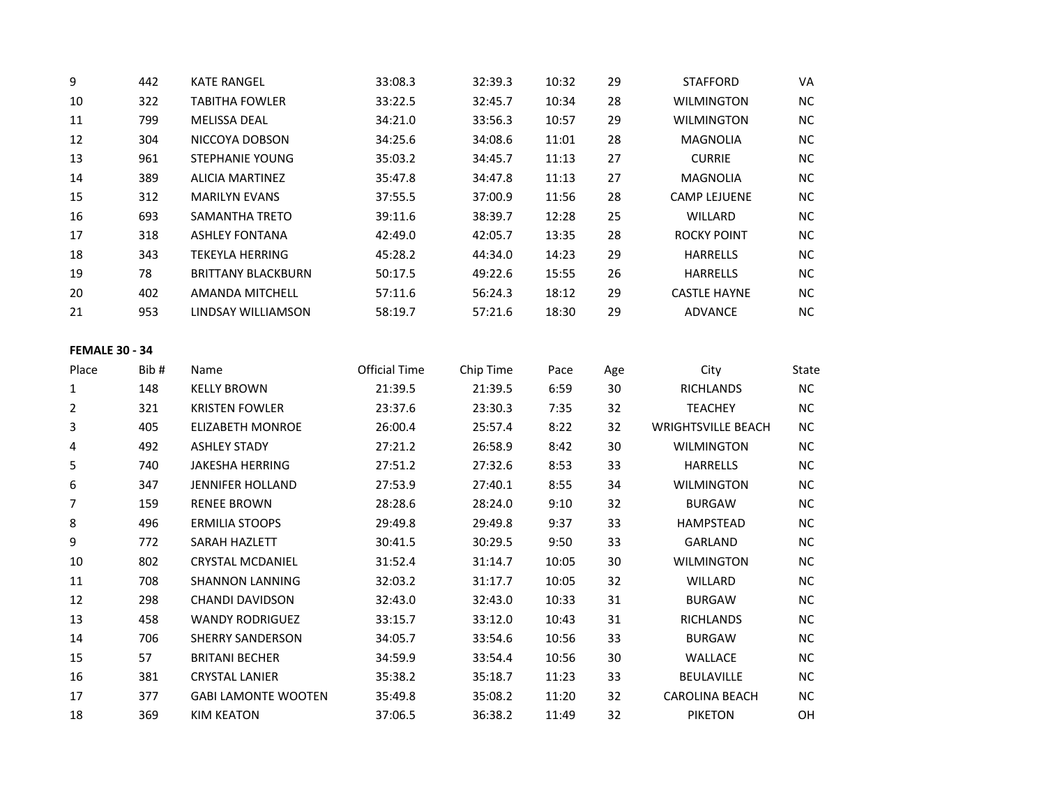| 9                     | 442  | <b>KATE RANGEL</b>         | 33:08.3              | 32:39.3   | 10:32 | 29  | <b>STAFFORD</b>           | VA        |
|-----------------------|------|----------------------------|----------------------|-----------|-------|-----|---------------------------|-----------|
| 10                    | 322  | <b>TABITHA FOWLER</b>      | 33:22.5              | 32:45.7   | 10:34 | 28  | <b>WILMINGTON</b>         | NC        |
| 11                    | 799  | MELISSA DEAL               | 34:21.0              | 33:56.3   | 10:57 | 29  | <b>WILMINGTON</b>         | NC        |
| 12                    | 304  | NICCOYA DOBSON             | 34:25.6              | 34:08.6   | 11:01 | 28  | <b>MAGNOLIA</b>           | <b>NC</b> |
| 13                    | 961  | <b>STEPHANIE YOUNG</b>     | 35:03.2              | 34:45.7   | 11:13 | 27  | <b>CURRIE</b>             | <b>NC</b> |
| 14                    | 389  | <b>ALICIA MARTINEZ</b>     | 35:47.8              | 34:47.8   | 11:13 | 27  | <b>MAGNOLIA</b>           | <b>NC</b> |
| 15                    | 312  | <b>MARILYN EVANS</b>       | 37:55.5              | 37:00.9   | 11:56 | 28  | <b>CAMP LEJUENE</b>       | NC        |
| 16                    | 693  | SAMANTHA TRETO             | 39:11.6              | 38:39.7   | 12:28 | 25  | WILLARD                   | $NC$      |
| 17                    | 318  | <b>ASHLEY FONTANA</b>      | 42:49.0              | 42:05.7   | 13:35 | 28  | <b>ROCKY POINT</b>        | <b>NC</b> |
| 18                    | 343  | <b>TEKEYLA HERRING</b>     | 45:28.2              | 44:34.0   | 14:23 | 29  | <b>HARRELLS</b>           | $NC$      |
| 19                    | 78   | <b>BRITTANY BLACKBURN</b>  | 50:17.5              | 49:22.6   | 15:55 | 26  | <b>HARRELLS</b>           | $NC$      |
| 20                    | 402  | AMANDA MITCHELL            | 57:11.6              | 56:24.3   | 18:12 | 29  | <b>CASTLE HAYNE</b>       | NC        |
| 21                    | 953  | LINDSAY WILLIAMSON         | 58:19.7              | 57:21.6   | 18:30 | 29  | <b>ADVANCE</b>            | NC        |
|                       |      |                            |                      |           |       |     |                           |           |
| <b>FEMALE 30 - 34</b> |      |                            |                      |           |       |     |                           |           |
| Place                 | Bib# | Name                       | <b>Official Time</b> | Chip Time | Pace  | Age | City                      | State     |
| $\mathbf 1$           | 148  | <b>KELLY BROWN</b>         | 21:39.5              | 21:39.5   | 6:59  | 30  | <b>RICHLANDS</b>          | NC        |
| 2                     | 321  | <b>KRISTEN FOWLER</b>      | 23:37.6              | 23:30.3   | 7:35  | 32  | <b>TEACHEY</b>            | <b>NC</b> |
| 3                     | 405  | <b>ELIZABETH MONROE</b>    | 26:00.4              | 25:57.4   | 8:22  | 32  | <b>WRIGHTSVILLE BEACH</b> | <b>NC</b> |
| 4                     | 492  | <b>ASHLEY STADY</b>        | 27:21.2              | 26:58.9   | 8:42  | 30  | <b>WILMINGTON</b>         | NC        |
| 5                     | 740  | <b>JAKESHA HERRING</b>     | 27:51.2              | 27:32.6   | 8:53  | 33  | <b>HARRELLS</b>           | NC        |
| 6                     | 347  | <b>JENNIFER HOLLAND</b>    | 27:53.9              | 27:40.1   | 8:55  | 34  | <b>WILMINGTON</b>         | NC        |
| 7                     | 159  | <b>RENEE BROWN</b>         | 28:28.6              | 28:24.0   | 9:10  | 32  | <b>BURGAW</b>             | <b>NC</b> |
| 8                     | 496  | <b>ERMILIA STOOPS</b>      | 29:49.8              | 29:49.8   | 9:37  | 33  | HAMPSTEAD                 | <b>NC</b> |
| 9                     | 772  | SARAH HAZLETT              | 30:41.5              | 30:29.5   | 9:50  | 33  | GARLAND                   | $NC$      |
| $10\,$                | 802  | <b>CRYSTAL MCDANIEL</b>    | 31:52.4              | 31:14.7   | 10:05 | 30  | <b>WILMINGTON</b>         | <b>NC</b> |
| 11                    | 708  | <b>SHANNON LANNING</b>     | 32:03.2              | 31:17.7   | 10:05 | 32  | WILLARD                   | <b>NC</b> |
| 12                    | 298  | <b>CHANDI DAVIDSON</b>     | 32:43.0              | 32:43.0   | 10:33 | 31  | <b>BURGAW</b>             | NC        |
| 13                    | 458  | <b>WANDY RODRIGUEZ</b>     | 33:15.7              | 33:12.0   | 10:43 | 31  | RICHLANDS                 | <b>NC</b> |
| 14                    | 706  | <b>SHERRY SANDERSON</b>    | 34:05.7              | 33:54.6   | 10:56 | 33  | <b>BURGAW</b>             | $NC$      |
| 15                    | 57   | <b>BRITANI BECHER</b>      | 34:59.9              | 33:54.4   | 10:56 | 30  | WALLACE                   | NC        |
| 16                    | 381  | <b>CRYSTAL LANIER</b>      | 35:38.2              | 35:18.7   | 11:23 | 33  | BEULAVILLE                | NC        |
| 17                    | 377  | <b>GABI LAMONTE WOOTEN</b> | 35:49.8              | 35:08.2   | 11:20 | 32  | <b>CAROLINA BEACH</b>     | NC.       |
| 18                    | 369  | <b>KIM KEATON</b>          | 37:06.5              | 36:38.2   | 11:49 | 32  | <b>PIKETON</b>            | OН        |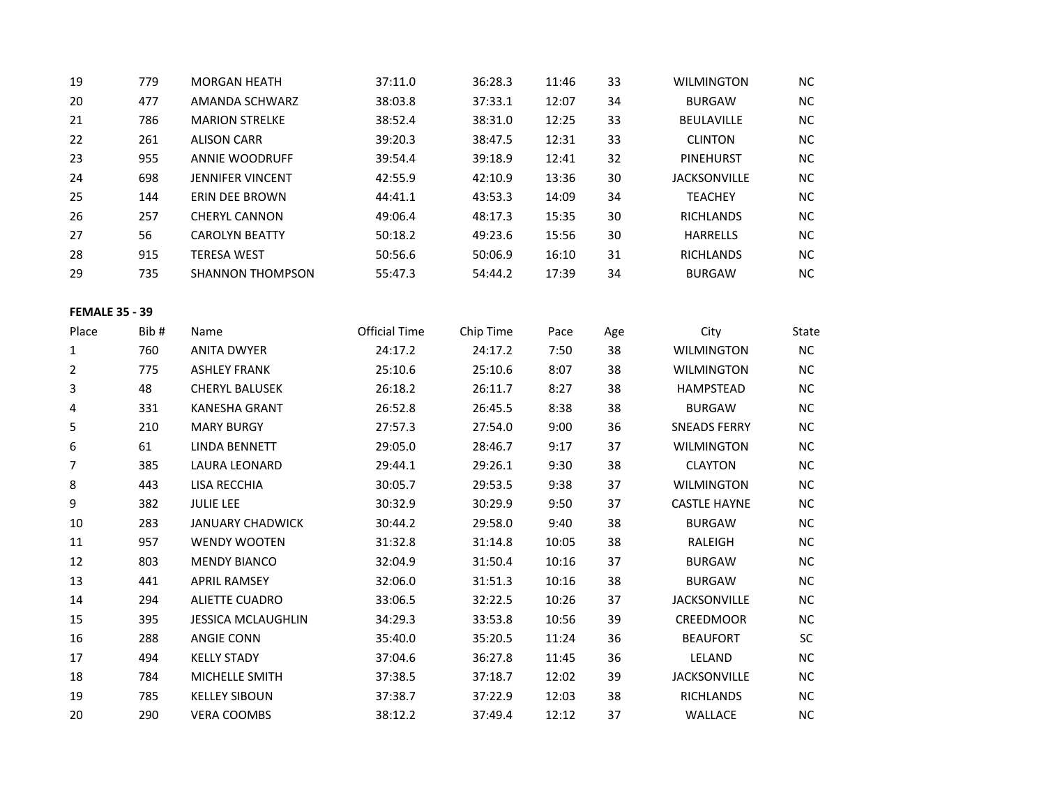| 19                    | 779  | <b>MORGAN HEATH</b>       | 37:11.0              | 36:28.3   | 11:46 | 33  | <b>WILMINGTON</b>   | $NC$      |
|-----------------------|------|---------------------------|----------------------|-----------|-------|-----|---------------------|-----------|
| 20                    | 477  | AMANDA SCHWARZ            | 38:03.8              | 37:33.1   | 12:07 | 34  | <b>BURGAW</b>       | $NC$      |
| 21                    | 786  | <b>MARION STRELKE</b>     | 38:52.4              | 38:31.0   | 12:25 | 33  | <b>BEULAVILLE</b>   | NC        |
| 22                    | 261  | <b>ALISON CARR</b>        | 39:20.3              | 38:47.5   | 12:31 | 33  | <b>CLINTON</b>      | $NC$      |
| 23                    | 955  | <b>ANNIE WOODRUFF</b>     | 39:54.4              | 39:18.9   | 12:41 | 32  | PINEHURST           | NC        |
| 24                    | 698  | <b>JENNIFER VINCENT</b>   | 42:55.9              | 42:10.9   | 13:36 | 30  | <b>JACKSONVILLE</b> | NC        |
| 25                    | 144  | ERIN DEE BROWN            | 44:41.1              | 43:53.3   | 14:09 | 34  | <b>TEACHEY</b>      | $NC$      |
| 26                    | 257  | <b>CHERYL CANNON</b>      | 49:06.4              | 48:17.3   | 15:35 | 30  | <b>RICHLANDS</b>    | NC        |
| 27                    | 56   | <b>CAROLYN BEATTY</b>     | 50:18.2              | 49:23.6   | 15:56 | 30  | <b>HARRELLS</b>     | $NC$      |
| 28                    | 915  | <b>TERESA WEST</b>        | 50:56.6              | 50:06.9   | 16:10 | 31  | <b>RICHLANDS</b>    | $NC$      |
| 29                    | 735  | <b>SHANNON THOMPSON</b>   | 55:47.3              | 54:44.2   | 17:39 | 34  | <b>BURGAW</b>       | NC        |
| <b>FEMALE 35 - 39</b> |      |                           |                      |           |       |     |                     |           |
| Place                 | Bib# | Name                      | <b>Official Time</b> | Chip Time | Pace  | Age | City                | State     |
| 1                     | 760  | <b>ANITA DWYER</b>        | 24:17.2              | 24:17.2   | 7:50  | 38  | <b>WILMINGTON</b>   | NC        |
| $\overline{2}$        | 775  | <b>ASHLEY FRANK</b>       | 25:10.6              | 25:10.6   | 8:07  | 38  | WILMINGTON          | NC        |
| 3                     | 48   | <b>CHERYL BALUSEK</b>     | 26:18.2              | 26:11.7   | 8:27  | 38  | HAMPSTEAD           | $NC$      |
| 4                     | 331  | KANESHA GRANT             | 26:52.8              | 26:45.5   | 8:38  | 38  | <b>BURGAW</b>       | NC        |
| 5                     | 210  | <b>MARY BURGY</b>         | 27:57.3              | 27:54.0   | 9:00  | 36  | <b>SNEADS FERRY</b> | $NC$      |
| 6                     | 61   | <b>LINDA BENNETT</b>      | 29:05.0              | 28:46.7   | 9:17  | 37  | <b>WILMINGTON</b>   | NC        |
| 7                     | 385  | LAURA LEONARD             | 29:44.1              | 29:26.1   | 9:30  | 38  | <b>CLAYTON</b>      | $NC$      |
| 8                     | 443  | LISA RECCHIA              | 30:05.7              | 29:53.5   | 9:38  | 37  | <b>WILMINGTON</b>   | NC        |
| 9                     | 382  | <b>JULIE LEE</b>          | 30:32.9              | 30:29.9   | 9:50  | 37  | <b>CASTLE HAYNE</b> | NC        |
| 10                    | 283  | <b>JANUARY CHADWICK</b>   | 30:44.2              | 29:58.0   | 9:40  | 38  | <b>BURGAW</b>       | $NC$      |
| $11\,$                | 957  | <b>WENDY WOOTEN</b>       | 31:32.8              | 31:14.8   | 10:05 | 38  | RALEIGH             | NC        |
| 12                    | 803  | <b>MENDY BIANCO</b>       | 32:04.9              | 31:50.4   | 10:16 | 37  | <b>BURGAW</b>       | $NC$      |
| 13                    | 441  | <b>APRIL RAMSEY</b>       | 32:06.0              | 31:51.3   | 10:16 | 38  | <b>BURGAW</b>       | NC        |
| 14                    | 294  | <b>ALIETTE CUADRO</b>     | 33:06.5              | 32:22.5   | 10:26 | 37  | <b>JACKSONVILLE</b> | NC        |
| 15                    | 395  | <b>JESSICA MCLAUGHLIN</b> | 34:29.3              | 33:53.8   | 10:56 | 39  | CREEDMOOR           | $NC$      |
| 16                    | 288  | <b>ANGIE CONN</b>         | 35:40.0              | 35:20.5   | 11:24 | 36  | <b>BEAUFORT</b>     | SC        |
| 17                    | 494  | <b>KELLY STADY</b>        | 37:04.6              | 36:27.8   | 11:45 | 36  | LELAND              | $NC$      |
| 18                    | 784  | MICHELLE SMITH            | 37:38.5              | 37:18.7   | 12:02 | 39  | <b>JACKSONVILLE</b> | NC        |
| 19                    | 785  | <b>KELLEY SIBOUN</b>      | 37:38.7              | 37:22.9   | 12:03 | 38  | <b>RICHLANDS</b>    | <b>NC</b> |
| 20                    | 290  | <b>VERA COOMBS</b>        | 38:12.2              | 37:49.4   | 12:12 | 37  | <b>WALLACE</b>      | NC        |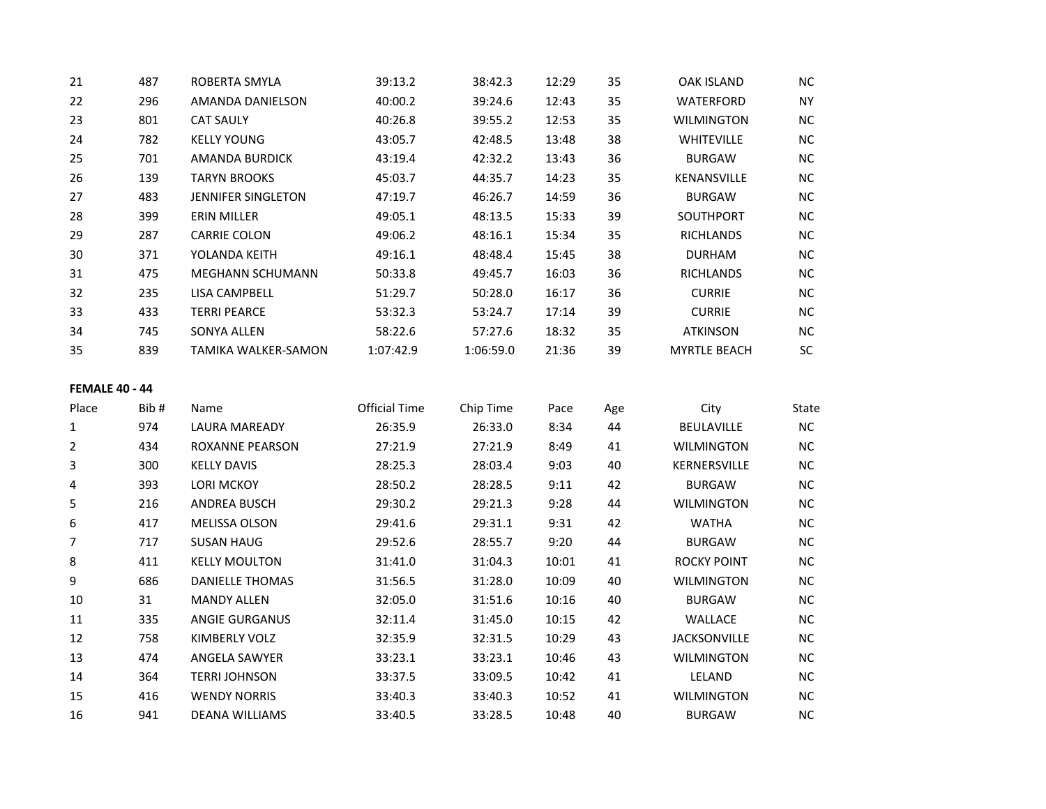| 21 | 487 | ROBERTA SMYLA           | 39:13.2   | 38:42.3   | 12:29 | 35 | OAK ISLAND          | NC.       |
|----|-----|-------------------------|-----------|-----------|-------|----|---------------------|-----------|
| 22 | 296 | AMANDA DANIELSON        | 40:00.2   | 39:24.6   | 12:43 | 35 | <b>WATERFORD</b>    | <b>NY</b> |
| 23 | 801 | <b>CAT SAULY</b>        | 40:26.8   | 39:55.2   | 12:53 | 35 | <b>WILMINGTON</b>   | NC.       |
| 24 | 782 | <b>KELLY YOUNG</b>      | 43:05.7   | 42:48.5   | 13:48 | 38 | <b>WHITEVILLE</b>   | <b>NC</b> |
| 25 | 701 | AMANDA BURDICK          | 43:19.4   | 42:32.2   | 13:43 | 36 | <b>BURGAW</b>       | NC.       |
| 26 | 139 | <b>TARYN BROOKS</b>     | 45:03.7   | 44:35.7   | 14:23 | 35 | <b>KENANSVILLE</b>  | NC.       |
| 27 | 483 | JENNIFER SINGLETON      | 47:19.7   | 46:26.7   | 14:59 | 36 | <b>BURGAW</b>       | NC.       |
| 28 | 399 | ERIN MILLER             | 49:05.1   | 48:13.5   | 15:33 | 39 | <b>SOUTHPORT</b>    | NC.       |
| 29 | 287 | <b>CARRIE COLON</b>     | 49:06.2   | 48:16.1   | 15:34 | 35 | <b>RICHLANDS</b>    | <b>NC</b> |
| 30 | 371 | YOLANDA KEITH           | 49:16.1   | 48:48.4   | 15:45 | 38 | <b>DURHAM</b>       | NC.       |
| 31 | 475 | <b>MEGHANN SCHUMANN</b> | 50:33.8   | 49:45.7   | 16:03 | 36 | <b>RICHLANDS</b>    | NC.       |
| 32 | 235 | LISA CAMPBELL           | 51:29.7   | 50:28.0   | 16:17 | 36 | <b>CURRIE</b>       | NC        |
| 33 | 433 | <b>TERRI PEARCE</b>     | 53:32.3   | 53:24.7   | 17:14 | 39 | <b>CURRIE</b>       | NC.       |
| 34 | 745 | <b>SONYA ALLEN</b>      | 58:22.6   | 57:27.6   | 18:32 | 35 | <b>ATKINSON</b>     | <b>NC</b> |
| 35 | 839 | TAMIKA WALKER-SAMON     | 1:07:42.9 | 1:06:59.0 | 21:36 | 39 | <b>MYRTLE BEACH</b> | SC        |
|    |     |                         |           |           |       |    |                     |           |

| Place          | Bib # | Name                   | <b>Official Time</b> | Chip Time | Pace  | Age | City                | <b>State</b> |
|----------------|-------|------------------------|----------------------|-----------|-------|-----|---------------------|--------------|
| 1              | 974   | <b>LAURA MAREADY</b>   | 26:35.9              | 26:33.0   | 8:34  | 44  | <b>BEULAVILLE</b>   | NC.          |
| $\overline{2}$ | 434   | <b>ROXANNE PEARSON</b> | 27:21.9              | 27:21.9   | 8:49  | 41  | <b>WILMINGTON</b>   | NC.          |
| 3              | 300   | <b>KELLY DAVIS</b>     | 28:25.3              | 28:03.4   | 9:03  | 40  | KERNERSVILLE        | NC.          |
| 4              | 393   | <b>LORI MCKOY</b>      | 28:50.2              | 28:28.5   | 9:11  | 42  | <b>BURGAW</b>       | NC.          |
| 5              | 216   | <b>ANDREA BUSCH</b>    | 29:30.2              | 29:21.3   | 9:28  | 44  | <b>WILMINGTON</b>   | NC.          |
| 6              | 417   | <b>MELISSA OLSON</b>   | 29:41.6              | 29:31.1   | 9:31  | 42  | <b>WATHA</b>        | NC.          |
| 7              | 717   | <b>SUSAN HAUG</b>      | 29:52.6              | 28:55.7   | 9:20  | 44  | <b>BURGAW</b>       | NC.          |
| 8              | 411   | <b>KELLY MOULTON</b>   | 31:41.0              | 31:04.3   | 10:01 | 41  | <b>ROCKY POINT</b>  | NC.          |
| 9              | 686   | <b>DANIELLE THOMAS</b> | 31:56.5              | 31:28.0   | 10:09 | 40  | <b>WILMINGTON</b>   | NC.          |
| 10             | 31    | <b>MANDY ALLEN</b>     | 32:05.0              | 31:51.6   | 10:16 | 40  | <b>BURGAW</b>       | NC.          |
| 11             | 335   | ANGIE GURGANUS         | 32:11.4              | 31:45.0   | 10:15 | 42  | <b>WALLACE</b>      | NC.          |
| 12             | 758   | KIMBERLY VOLZ          | 32:35.9              | 32:31.5   | 10:29 | 43  | <b>JACKSONVILLE</b> | NC.          |
| 13             | 474   | ANGELA SAWYER          | 33:23.1              | 33:23.1   | 10:46 | 43  | <b>WILMINGTON</b>   | NC.          |
| 14             | 364   | <b>TERRI JOHNSON</b>   | 33:37.5              | 33:09.5   | 10:42 | 41  | LELAND              | NC.          |
| 15             | 416   | <b>WENDY NORRIS</b>    | 33:40.3              | 33:40.3   | 10:52 | 41  | <b>WILMINGTON</b>   | NC.          |
| 16             | 941   | <b>DEANA WILLIAMS</b>  | 33:40.5              | 33:28.5   | 10:48 | 40  | <b>BURGAW</b>       | NC.          |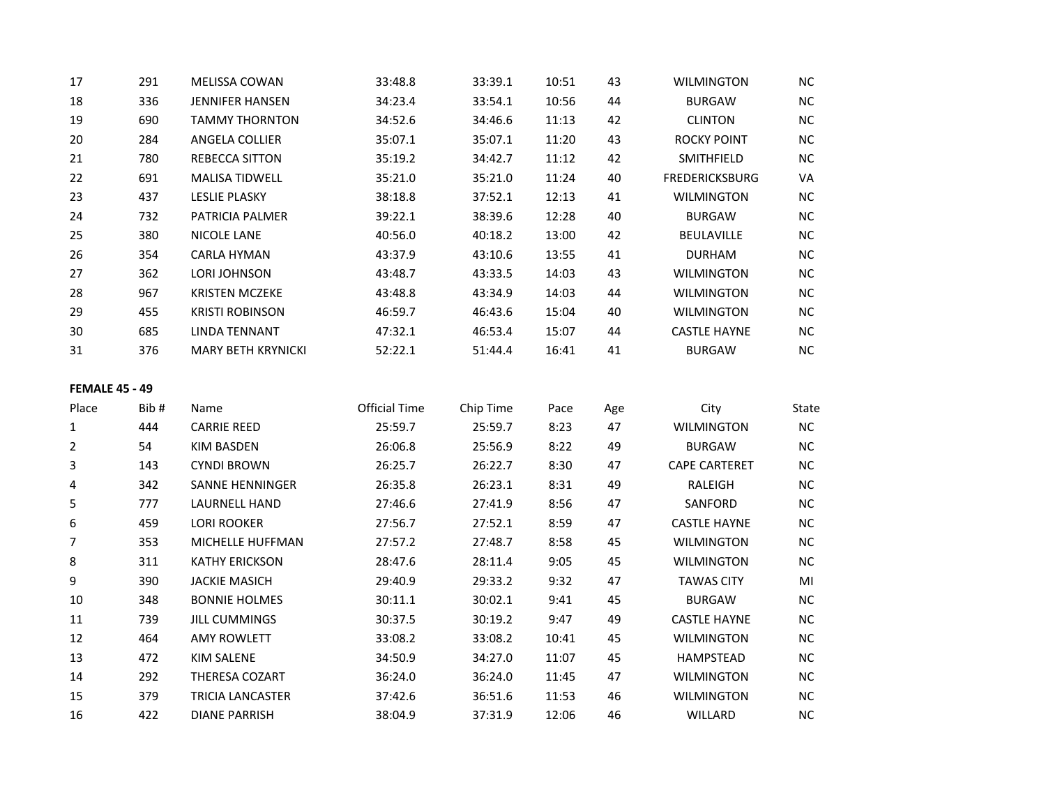| 17                    | 291  | MELISSA COWAN             | 33:48.8              | 33:39.1   | 10:51 | 43  | <b>WILMINGTON</b>     | NC        |
|-----------------------|------|---------------------------|----------------------|-----------|-------|-----|-----------------------|-----------|
| 18                    | 336  | <b>JENNIFER HANSEN</b>    | 34:23.4              | 33:54.1   | 10:56 | 44  | <b>BURGAW</b>         | NC        |
| 19                    | 690  | <b>TAMMY THORNTON</b>     | 34:52.6              | 34:46.6   | 11:13 | 42  | <b>CLINTON</b>        | NC        |
| 20                    | 284  | ANGELA COLLIER            | 35:07.1              | 35:07.1   | 11:20 | 43  | <b>ROCKY POINT</b>    | <b>NC</b> |
| 21                    | 780  | <b>REBECCA SITTON</b>     | 35:19.2              | 34:42.7   | 11:12 | 42  | SMITHFIELD            | NC        |
| 22                    | 691  | <b>MALISA TIDWELL</b>     | 35:21.0              | 35:21.0   | 11:24 | 40  | <b>FREDERICKSBURG</b> | VA        |
| 23                    | 437  | <b>LESLIE PLASKY</b>      | 38:18.8              | 37:52.1   | 12:13 | 41  | <b>WILMINGTON</b>     | NC        |
| 24                    | 732  | PATRICIA PALMER           | 39:22.1              | 38:39.6   | 12:28 | 40  | <b>BURGAW</b>         | NC        |
| 25                    | 380  | <b>NICOLE LANE</b>        | 40:56.0              | 40:18.2   | 13:00 | 42  | BEULAVILLE            | NC        |
| 26                    | 354  | <b>CARLA HYMAN</b>        | 43:37.9              | 43:10.6   | 13:55 | 41  | <b>DURHAM</b>         | NC        |
| 27                    | 362  | LORI JOHNSON              | 43:48.7              | 43:33.5   | 14:03 | 43  | <b>WILMINGTON</b>     | NC        |
| 28                    | 967  | <b>KRISTEN MCZEKE</b>     | 43:48.8              | 43:34.9   | 14:03 | 44  | <b>WILMINGTON</b>     | NC        |
| 29                    | 455  | <b>KRISTI ROBINSON</b>    | 46:59.7              | 46:43.6   | 15:04 | 40  | <b>WILMINGTON</b>     | NC        |
| 30                    | 685  | <b>LINDA TENNANT</b>      | 47:32.1              | 46:53.4   | 15:07 | 44  | <b>CASTLE HAYNE</b>   | NC        |
| 31                    | 376  | <b>MARY BETH KRYNICKI</b> | 52:22.1              | 51:44.4   | 16:41 | 41  | <b>BURGAW</b>         | NC        |
| <b>FEMALE 45 - 49</b> |      |                           |                      |           |       |     |                       |           |
| Place                 | Bib# | Name                      | <b>Official Time</b> | Chip Time | Pace  | Age | City                  | State     |
| 1                     | 444  | <b>CARRIE REED</b>        | 25:59.7              | 25:59.7   | 8:23  | 47  | <b>WILMINGTON</b>     | NC        |
| $\overline{2}$        |      |                           |                      |           | 8:22  | 49  |                       | NC        |
|                       | 54   | <b>KIM BASDEN</b>         | 26:06.8              | 25:56.9   |       |     | <b>BURGAW</b>         |           |
| 3                     | 143  | <b>CYNDI BROWN</b>        | 26:25.7              | 26:22.7   | 8:30  | 47  | <b>CAPE CARTERET</b>  | NC        |
| 4                     | 342  | <b>SANNE HENNINGER</b>    | 26:35.8              | 26:23.1   | 8:31  | 49  | RALEIGH               | NC        |
| 5                     | 777  | <b>LAURNELL HAND</b>      | 27:46.6              | 27:41.9   | 8:56  | 47  | SANFORD               | NC        |
| 6                     | 459  | LORI ROOKER               | 27:56.7              | 27:52.1   | 8:59  | 47  | <b>CASTLE HAYNE</b>   | NC        |
| 7                     | 353  | MICHELLE HUFFMAN          | 27:57.2              | 27:48.7   | 8:58  | 45  | <b>WILMINGTON</b>     | NC        |
| 8                     | 311  | <b>KATHY ERICKSON</b>     | 28:47.6              | 28:11.4   | 9:05  | 45  | <b>WILMINGTON</b>     | NC        |
| 9                     | 390  | <b>JACKIE MASICH</b>      | 29:40.9              | 29:33.2   | 9:32  | 47  | <b>TAWAS CITY</b>     | MI        |
| 10                    | 348  | <b>BONNIE HOLMES</b>      | 30:11.1              | 30:02.1   | 9:41  | 45  | <b>BURGAW</b>         | NC        |
| 11                    | 739  | <b>JILL CUMMINGS</b>      | 30:37.5              | 30:19.2   | 9:47  | 49  | <b>CASTLE HAYNE</b>   | NC        |
| 12                    | 464  | <b>AMY ROWLETT</b>        | 33:08.2              | 33:08.2   | 10:41 | 45  | <b>WILMINGTON</b>     | NC        |
| 13                    | 472  | <b>KIM SALENE</b>         | 34:50.9              | 34:27.0   | 11:07 | 45  | HAMPSTEAD             | NC        |
| 14                    | 292  | THERESA COZART            | 36:24.0              | 36:24.0   | 11:45 | 47  | <b>WILMINGTON</b>     | NC        |
| 15                    | 379  | TRICIA LANCASTER          | 37:42.6              | 36:51.6   | 11:53 | 46  | <b>WILMINGTON</b>     | NC        |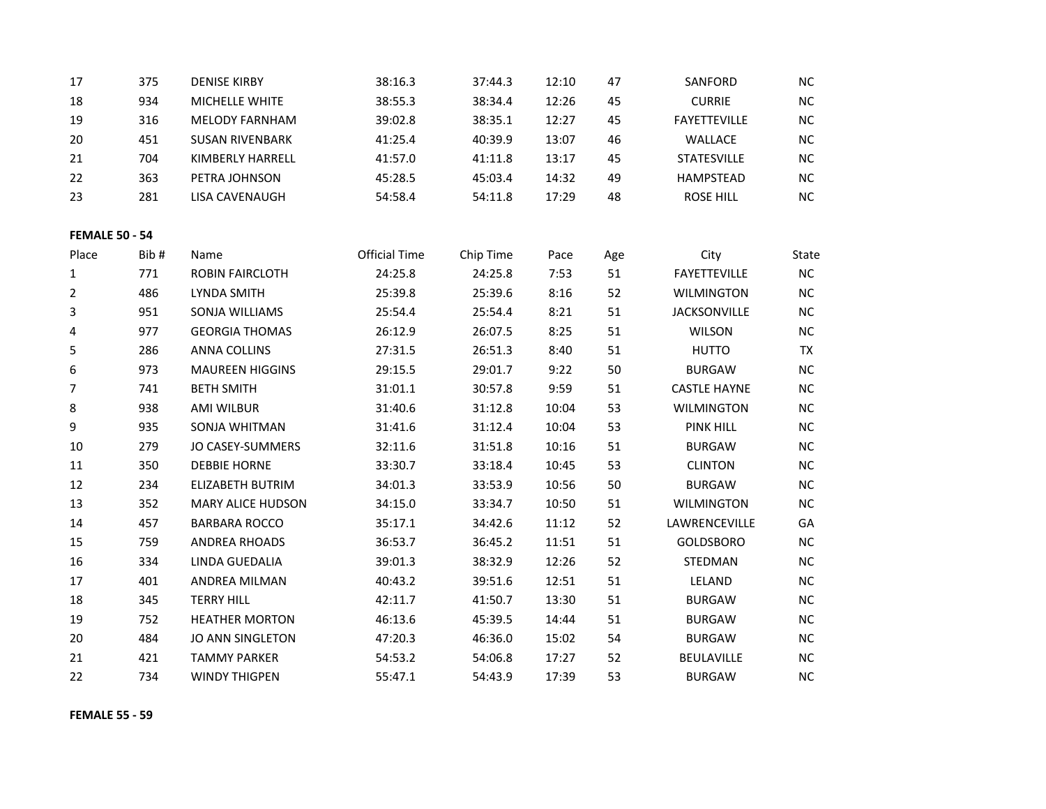| 17                    | 375  | <b>DENISE KIRBY</b>      | 38:16.3              | 37:44.3   | 12:10 | 47  | SANFORD             | <b>NC</b> |
|-----------------------|------|--------------------------|----------------------|-----------|-------|-----|---------------------|-----------|
| 18                    | 934  | MICHELLE WHITE           | 38:55.3              | 38:34.4   | 12:26 | 45  | <b>CURRIE</b>       | NC        |
| 19                    | 316  | <b>MELODY FARNHAM</b>    | 39:02.8              | 38:35.1   | 12:27 | 45  | <b>FAYETTEVILLE</b> | NC        |
| 20                    | 451  | <b>SUSAN RIVENBARK</b>   | 41:25.4              | 40:39.9   | 13:07 | 46  | WALLACE             | $NC$      |
| 21                    | 704  | KIMBERLY HARRELL         | 41:57.0              | 41:11.8   | 13:17 | 45  | <b>STATESVILLE</b>  | NC        |
| 22                    | 363  | PETRA JOHNSON            | 45:28.5              | 45:03.4   | 14:32 | 49  | <b>HAMPSTEAD</b>    | <b>NC</b> |
| 23                    | 281  | LISA CAVENAUGH           | 54:58.4              | 54:11.8   | 17:29 | 48  | <b>ROSE HILL</b>    | <b>NC</b> |
| <b>FEMALE 50 - 54</b> |      |                          |                      |           |       |     |                     |           |
| Place                 | Bib# | Name                     | <b>Official Time</b> | Chip Time | Pace  | Age | City                | State     |
| 1                     | 771  | ROBIN FAIRCLOTH          | 24:25.8              | 24:25.8   | 7:53  | 51  | <b>FAYETTEVILLE</b> | NC        |
| $\overline{2}$        | 486  | LYNDA SMITH              | 25:39.8              | 25:39.6   | 8:16  | 52  | <b>WILMINGTON</b>   | <b>NC</b> |
| 3                     | 951  | SONJA WILLIAMS           | 25:54.4              | 25:54.4   | 8:21  | 51  | <b>JACKSONVILLE</b> | <b>NC</b> |
| 4                     | 977  | <b>GEORGIA THOMAS</b>    | 26:12.9              | 26:07.5   | 8:25  | 51  | <b>WILSON</b>       | NC        |
| 5                     | 286  | ANNA COLLINS             | 27:31.5              | 26:51.3   | 8:40  | 51  | <b>HUTTO</b>        | TX        |
| 6                     | 973  | <b>MAUREEN HIGGINS</b>   | 29:15.5              | 29:01.7   | 9:22  | 50  | <b>BURGAW</b>       | $NC$      |
| 7                     | 741  | <b>BETH SMITH</b>        | 31:01.1              | 30:57.8   | 9:59  | 51  | <b>CASTLE HAYNE</b> | NC        |
| 8                     | 938  | AMI WILBUR               | 31:40.6              | 31:12.8   | 10:04 | 53  | <b>WILMINGTON</b>   | NC        |
| 9                     | 935  | SONJA WHITMAN            | 31:41.6              | 31:12.4   | 10:04 | 53  | <b>PINK HILL</b>    | <b>NC</b> |
| 10                    | 279  | JO CASEY-SUMMERS         | 32:11.6              | 31:51.8   | 10:16 | 51  | <b>BURGAW</b>       | <b>NC</b> |
| 11                    | 350  | <b>DEBBIE HORNE</b>      | 33:30.7              | 33:18.4   | 10:45 | 53  | <b>CLINTON</b>      | <b>NC</b> |
| 12                    | 234  | <b>ELIZABETH BUTRIM</b>  | 34:01.3              | 33:53.9   | 10:56 | 50  | <b>BURGAW</b>       | $NC$      |
| 13                    | 352  | <b>MARY ALICE HUDSON</b> | 34:15.0              | 33:34.7   | 10:50 | 51  | <b>WILMINGTON</b>   | NC        |
| 14                    | 457  | <b>BARBARA ROCCO</b>     | 35:17.1              | 34:42.6   | 11:12 | 52  | LAWRENCEVILLE       | GA        |
| 15                    | 759  | <b>ANDREA RHOADS</b>     | 36:53.7              | 36:45.2   | 11:51 | 51  | <b>GOLDSBORO</b>    | <b>NC</b> |
| 16                    | 334  | LINDA GUEDALIA           | 39:01.3              | 38:32.9   | 12:26 | 52  | STEDMAN             | <b>NC</b> |
| 17                    | 401  | ANDREA MILMAN            | 40:43.2              | 39:51.6   | 12:51 | 51  | LELAND              | $NC$      |
| 18                    | 345  | <b>TERRY HILL</b>        | 42:11.7              | 41:50.7   | 13:30 | 51  | <b>BURGAW</b>       | <b>NC</b> |
| 19                    | 752  | <b>HEATHER MORTON</b>    | 46:13.6              | 45:39.5   | 14:44 | 51  | <b>BURGAW</b>       | $NC$      |
| 20                    | 484  | <b>JO ANN SINGLETON</b>  | 47:20.3              | 46:36.0   | 15:02 | 54  | <b>BURGAW</b>       | NC        |
| 21                    | 421  | <b>TAMMY PARKER</b>      | 54:53.2              | 54:06.8   | 17:27 | 52  | <b>BEULAVILLE</b>   | NC.       |
| 22                    | 734  | <b>WINDY THIGPEN</b>     | 55:47.1              | 54:43.9   | 17:39 | 53  | <b>BURGAW</b>       | <b>NC</b> |

**FEMALE 55 - 59**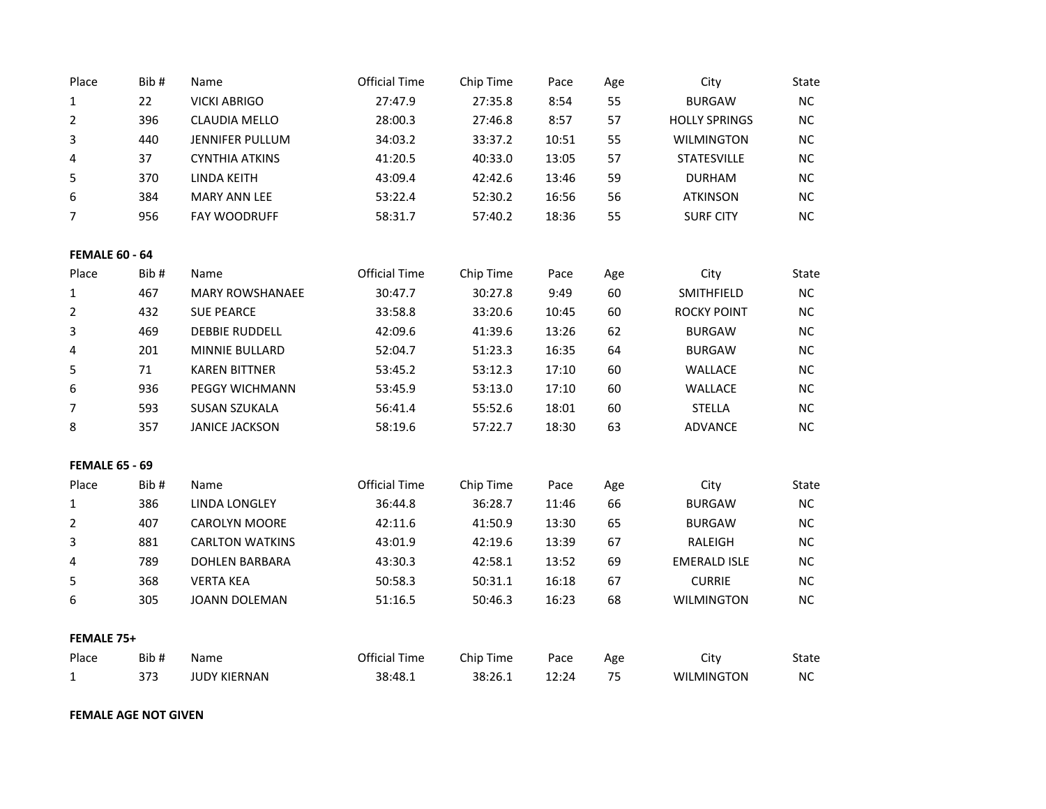| Place                 | Bib# | Name                   | <b>Official Time</b> | Chip Time | Pace  | Age | City                 | State        |
|-----------------------|------|------------------------|----------------------|-----------|-------|-----|----------------------|--------------|
| 1                     | 22   | <b>VICKI ABRIGO</b>    | 27:47.9              | 27:35.8   | 8:54  | 55  | <b>BURGAW</b>        | NC           |
| $\overline{2}$        | 396  | <b>CLAUDIA MELLO</b>   | 28:00.3              | 27:46.8   | 8:57  | 57  | <b>HOLLY SPRINGS</b> | $NC$         |
| 3                     | 440  | JENNIFER PULLUM        | 34:03.2              | 33:37.2   | 10:51 | 55  | <b>WILMINGTON</b>    | NC           |
| 4                     | 37   | <b>CYNTHIA ATKINS</b>  | 41:20.5              | 40:33.0   | 13:05 | 57  | <b>STATESVILLE</b>   | <b>NC</b>    |
| 5                     | 370  | LINDA KEITH            | 43:09.4              | 42:42.6   | 13:46 | 59  | <b>DURHAM</b>        | NC           |
| 6                     | 384  | <b>MARY ANN LEE</b>    | 53:22.4              | 52:30.2   | 16:56 | 56  | <b>ATKINSON</b>      | $NC$         |
| 7                     | 956  | FAY WOODRUFF           | 58:31.7              | 57:40.2   | 18:36 | 55  | <b>SURF CITY</b>     | NC           |
| <b>FEMALE 60 - 64</b> |      |                        |                      |           |       |     |                      |              |
| Place                 | Bib# | Name                   | <b>Official Time</b> | Chip Time | Pace  | Age | City                 | State        |
| 1                     | 467  | <b>MARY ROWSHANAEE</b> | 30:47.7              | 30:27.8   | 9:49  | 60  | SMITHFIELD           | NC           |
| $\overline{2}$        | 432  | <b>SUE PEARCE</b>      | 33:58.8              | 33:20.6   | 10:45 | 60  | <b>ROCKY POINT</b>   | NC           |
| 3                     | 469  | <b>DEBBIE RUDDELL</b>  | 42:09.6              | 41:39.6   | 13:26 | 62  | <b>BURGAW</b>        | NC           |
| 4                     | 201  | MINNIE BULLARD         | 52:04.7              | 51:23.3   | 16:35 | 64  | <b>BURGAW</b>        | NC           |
| 5                     | 71   | <b>KAREN BITTNER</b>   | 53:45.2              | 53:12.3   | 17:10 | 60  | WALLACE              | $NC$         |
| 6                     | 936  | <b>PEGGY WICHMANN</b>  | 53:45.9              | 53:13.0   | 17:10 | 60  | WALLACE              | NC           |
| $\overline{7}$        | 593  | <b>SUSAN SZUKALA</b>   | 56:41.4              | 55:52.6   | 18:01 | 60  | <b>STELLA</b>        | NC           |
| 8                     | 357  | <b>JANICE JACKSON</b>  | 58:19.6              | 57:22.7   | 18:30 | 63  | <b>ADVANCE</b>       | NC           |
| <b>FEMALE 65 - 69</b> |      |                        |                      |           |       |     |                      |              |
| Place                 | Bib# | Name                   | <b>Official Time</b> | Chip Time | Pace  | Age | City                 | State        |
| $\mathbf{1}$          | 386  | <b>LINDA LONGLEY</b>   | 36:44.8              | 36:28.7   | 11:46 | 66  | <b>BURGAW</b>        | NC           |
| $\overline{2}$        | 407  | CAROLYN MOORE          | 42:11.6              | 41:50.9   | 13:30 | 65  | <b>BURGAW</b>        | <b>NC</b>    |
| 3                     | 881  | <b>CARLTON WATKINS</b> | 43:01.9              | 42:19.6   | 13:39 | 67  | RALEIGH              | <b>NC</b>    |
| 4                     | 789  | <b>DOHLEN BARBARA</b>  | 43:30.3              | 42:58.1   | 13:52 | 69  | <b>EMERALD ISLE</b>  | <b>NC</b>    |
| 5                     | 368  | <b>VERTA KEA</b>       | 50:58.3              | 50:31.1   | 16:18 | 67  | <b>CURRIE</b>        | $NC$         |
| 6                     | 305  | JOANN DOLEMAN          | 51:16.5              | 50:46.3   | 16:23 | 68  | <b>WILMINGTON</b>    | <b>NC</b>    |
| FEMALE 75+            |      |                        |                      |           |       |     |                      |              |
| Place                 | Bib# | Name                   | <b>Official Time</b> | Chip Time | Pace  | Age | City                 | <b>State</b> |
| $\mathbf{1}$          | 373  | <b>JUDY KIERNAN</b>    | 38:48.1              | 38:26.1   | 12:24 | 75  | <b>WILMINGTON</b>    | NC           |

**FEMALE AGE NOT GIVEN**